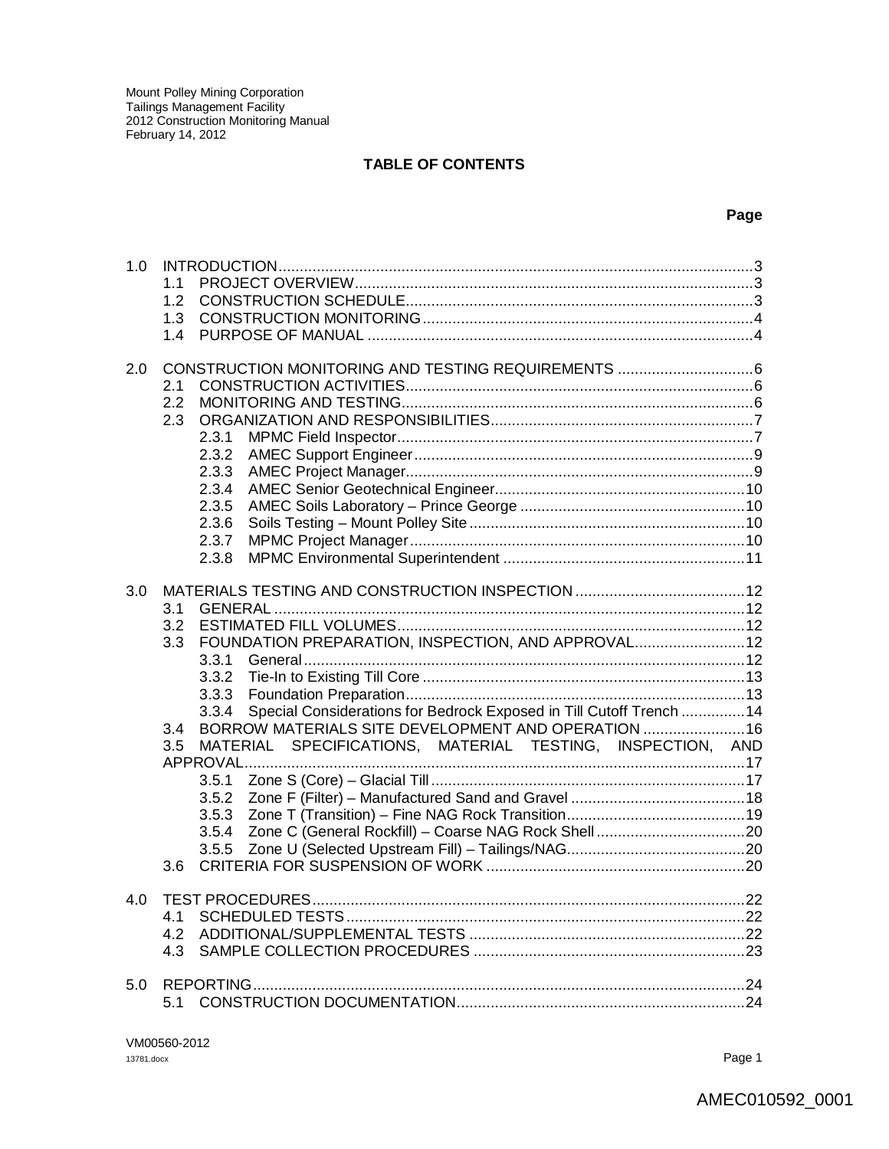#### **TABLE OF CONTENTS**

#### **Page**

| 1.0 | 1.1                                                                                                                                      |  |
|-----|------------------------------------------------------------------------------------------------------------------------------------------|--|
|     | 1.2                                                                                                                                      |  |
|     | 1.3                                                                                                                                      |  |
|     | 14                                                                                                                                       |  |
|     |                                                                                                                                          |  |
| 2.0 |                                                                                                                                          |  |
|     | 2.1                                                                                                                                      |  |
|     | 2.2                                                                                                                                      |  |
|     | 2.3                                                                                                                                      |  |
|     | 2.3.1                                                                                                                                    |  |
|     | 2.3.2                                                                                                                                    |  |
|     | 2.3.3                                                                                                                                    |  |
|     | 2.3.4                                                                                                                                    |  |
|     | 2.3.5                                                                                                                                    |  |
|     | 2.3.6                                                                                                                                    |  |
|     | 2.3.7                                                                                                                                    |  |
|     | 2.3.8                                                                                                                                    |  |
|     |                                                                                                                                          |  |
| 3.0 |                                                                                                                                          |  |
|     | 3.1                                                                                                                                      |  |
|     | 3.2                                                                                                                                      |  |
|     | FOUNDATION PREPARATION, INSPECTION, AND APPROVAL 12<br>3.3                                                                               |  |
|     | 3.3.1                                                                                                                                    |  |
|     | 3.3.2                                                                                                                                    |  |
|     | 3.3.3                                                                                                                                    |  |
|     | Special Considerations for Bedrock Exposed in Till Cutoff Trench  14<br>3.3.4<br>3.4 BORROW MATERIALS SITE DEVELOPMENT AND OPERATION  16 |  |
|     | SPECIFICATIONS, MATERIAL TESTING, INSPECTION, AND<br>MATERIAL                                                                            |  |
|     | 3.5                                                                                                                                      |  |
|     | 3.5.1                                                                                                                                    |  |
|     | 3.5.2                                                                                                                                    |  |
|     | 3.5.3                                                                                                                                    |  |
|     | 3.5.4                                                                                                                                    |  |
|     | 3.5.5                                                                                                                                    |  |
|     | 3.6                                                                                                                                      |  |
|     |                                                                                                                                          |  |
| 4.0 |                                                                                                                                          |  |
|     | 4.1                                                                                                                                      |  |
|     | 4.2                                                                                                                                      |  |
|     | 4.3                                                                                                                                      |  |
|     |                                                                                                                                          |  |
| 5.0 |                                                                                                                                          |  |
|     | 5.1                                                                                                                                      |  |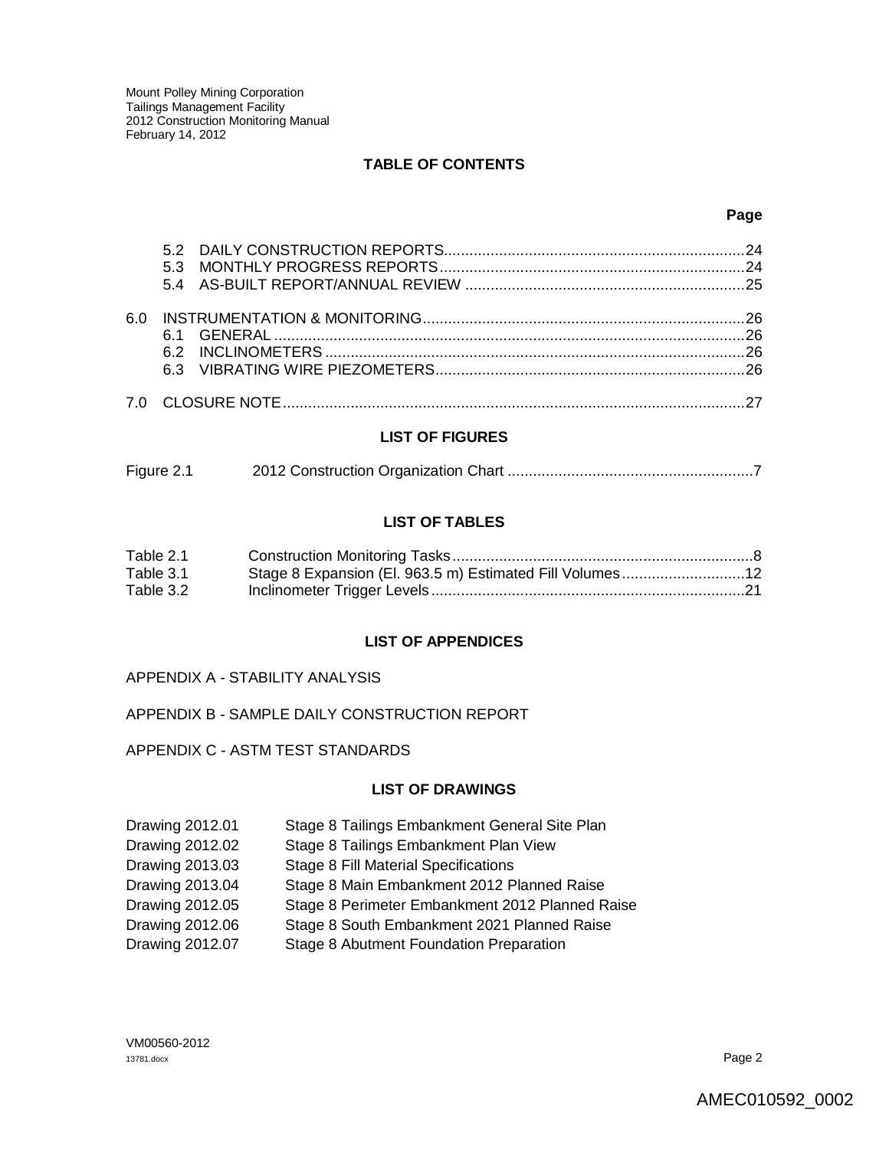#### **TABLE OF CONTENTS**

#### **Page**

| 6 በ |  |
|-----|--|
|     |  |

#### **LIST OF FIGURES**

| Figure 2.1 |  |
|------------|--|
|------------|--|

#### **LIST OF TABLES**

| Table 2.1 |                                                          |  |
|-----------|----------------------------------------------------------|--|
| Table 3.1 | Stage 8 Expansion (El. 963.5 m) Estimated Fill Volumes12 |  |
| Table 3.2 |                                                          |  |

#### **LIST OF APPENDICES**

#### APPENDIX A - STABILITY ANALYSIS

#### APPENDIX B - SAMPLE DAILY CONSTRUCTION REPORT

#### APPENDIX C - ASTM TEST STANDARDS

#### **LIST OF DRAWINGS**

| Drawing 2012.01 | Stage 8 Tailings Embankment General Site Plan   |
|-----------------|-------------------------------------------------|
| Drawing 2012.02 | Stage 8 Tailings Embankment Plan View           |
| Drawing 2013.03 | <b>Stage 8 Fill Material Specifications</b>     |
| Drawing 2013.04 | Stage 8 Main Embankment 2012 Planned Raise      |
| Drawing 2012.05 | Stage 8 Perimeter Embankment 2012 Planned Raise |
| Drawing 2012.06 | Stage 8 South Embankment 2021 Planned Raise     |
| Drawing 2012.07 | Stage 8 Abutment Foundation Preparation         |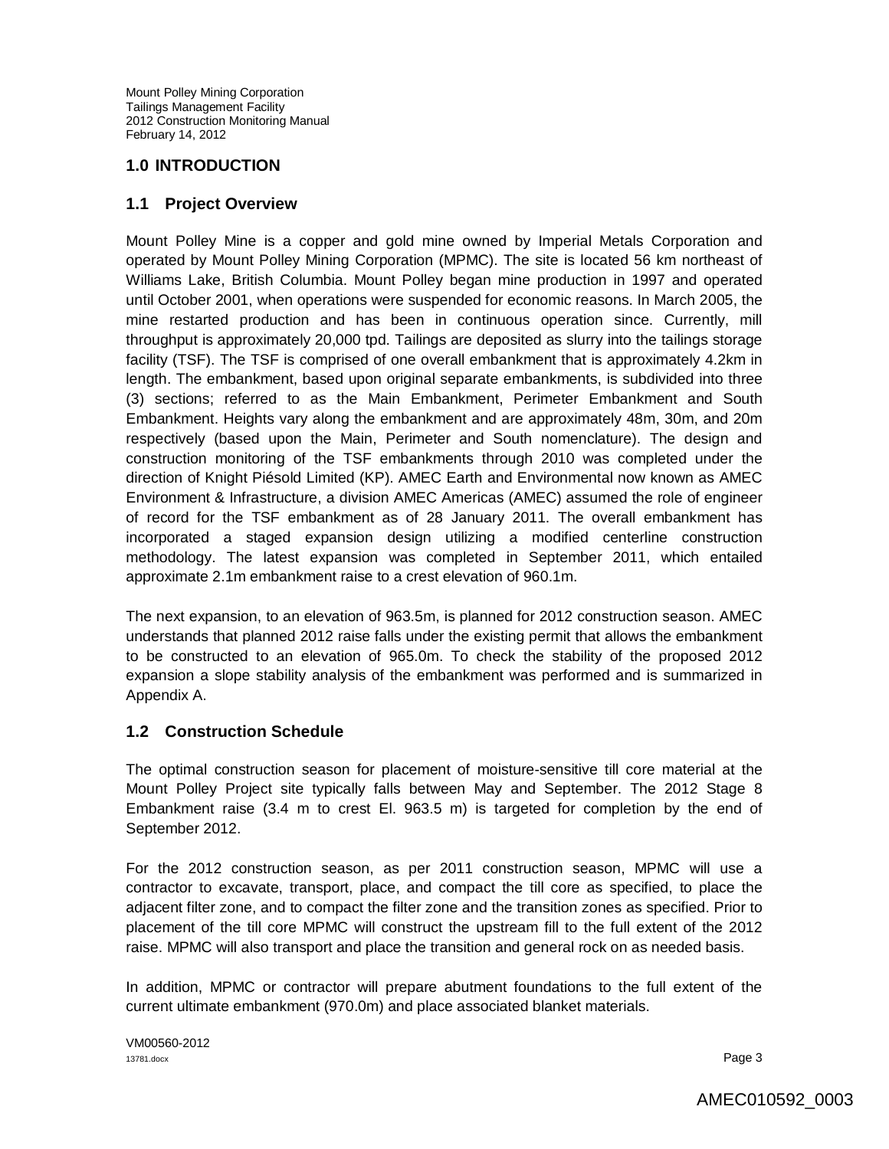#### **1.0 INTRODUCTION**

#### **1.1 Project Overview**

Mount Polley Mine is a copper and gold mine owned by Imperial Metals Corporation and operated by Mount Polley Mining Corporation (MPMC). The site is located 56 km northeast of Williams Lake, British Columbia. Mount Polley began mine production in 1997 and operated until October 2001, when operations were suspended for economic reasons. In March 2005, the mine restarted production and has been in continuous operation since. Currently, mill throughput is approximately 20,000 tpd. Tailings are deposited as slurry into the tailings storage facility (TSF). The TSF is comprised of one overall embankment that is approximately 4.2km in length. The embankment, based upon original separate embankments, is subdivided into three (3) sections; referred to as the Main Embankment, Perimeter Embankment and South Embankment. Heights vary along the embankment and are approximately 48m, 30m, and 20m respectively (based upon the Main, Perimeter and South nomenclature). The design and construction monitoring of the TSF embankments through 2010 was completed under the direction of Knight Piésold Limited (KP). AMEC Earth and Environmental now known as AMEC Environment & Infrastructure, a division AMEC Americas (AMEC) assumed the role of engineer of record for the TSF embankment as of 28 January 2011. The overall embankment has incorporated a staged expansion design utilizing a modified centerline construction methodology. The latest expansion was completed in September 2011, which entailed approximate 2.1m embankment raise to a crest elevation of 960.1m.

The next expansion, to an elevation of 963.5m, is planned for 2012 construction season. AMEC understands that planned 2012 raise falls under the existing permit that allows the embankment to be constructed to an elevation of 965.0m. To check the stability of the proposed 2012 expansion a slope stability analysis of the embankment was performed and is summarized in Appendix A.

#### **1.2 Construction Schedule**

The optimal construction season for placement of moisture-sensitive till core material at the Mount Polley Project site typically falls between May and September. The 2012 Stage 8 Embankment raise (3.4 m to crest El. 963.5 m) is targeted for completion by the end of September 2012.

For the 2012 construction season, as per 2011 construction season, MPMC will use a contractor to excavate, transport, place, and compact the till core as specified, to place the adjacent filter zone, and to compact the filter zone and the transition zones as specified. Prior to placement of the till core MPMC will construct the upstream fill to the full extent of the 2012 raise. MPMC will also transport and place the transition and general rock on as needed basis.

In addition, MPMC or contractor will prepare abutment foundations to the full extent of the current ultimate embankment (970.0m) and place associated blanket materials.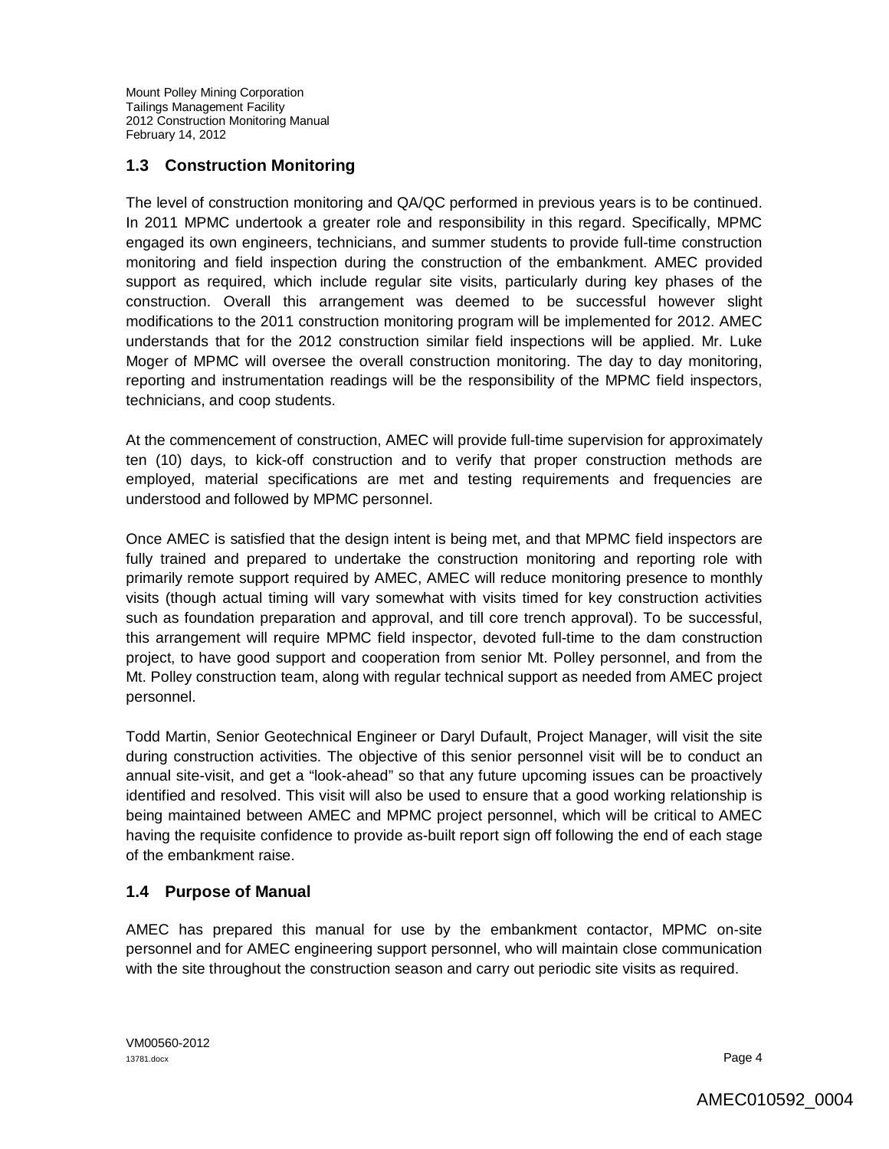# **1.3 Construction Monitoring**

The level of construction monitoring and QA/QC performed in previous years is to be continued. In 2011 MPMC undertook a greater role and responsibility in this regard. Specifically, MPMC engaged its own engineers, technicians, and summer students to provide full-time construction monitoring and field inspection during the construction of the embankment. AMEC provided support as required, which include regular site visits, particularly during key phases of the construction. Overall this arrangement was deemed to be successful however slight modifications to the 2011 construction monitoring program will be implemented for 2012. AMEC understands that for the 2012 construction similar field inspections will be applied. Mr. Luke Moger of MPMC will oversee the overall construction monitoring. The day to day monitoring, reporting and instrumentation readings will be the responsibility of the MPMC field inspectors, technicians, and coop students.

At the commencement of construction, AMEC will provide full-time supervision for approximately ten (10) days, to kick-off construction and to verify that proper construction methods are employed, material specifications are met and testing requirements and frequencies are understood and followed by MPMC personnel.

Once AMEC is satisfied that the design intent is being met, and that MPMC field inspectors are fully trained and prepared to undertake the construction monitoring and reporting role with primarily remote support required by AMEC, AMEC will reduce monitoring presence to monthly visits (though actual timing will vary somewhat with visits timed for key construction activities such as foundation preparation and approval, and till core trench approval). To be successful, this arrangement will require MPMC field inspector, devoted full-time to the dam construction project, to have good support and cooperation from senior Mt. Polley personnel, and from the Mt. Polley construction team, along with regular technical support as needed from AMEC project personnel.

Todd Martin, Senior Geotechnical Engineer or Daryl Dufault, Project Manager, will visit the site during construction activities. The objective of this senior personnel visit will be to conduct an annual site-visit, and get a "look-ahead" so that any future upcoming issues can be proactively identified and resolved. This visit will also be used to ensure that a good working relationship is being maintained between AMEC and MPMC project personnel, which will be critical to AMEC having the requisite confidence to provide as-built report sign off following the end of each stage of the embankment raise.

## **1.4 Purpose of Manual**

AMEC has prepared this manual for use by the embankment contactor, MPMC on-site personnel and for AMEC engineering support personnel, who will maintain close communication with the site throughout the construction season and carry out periodic site visits as required.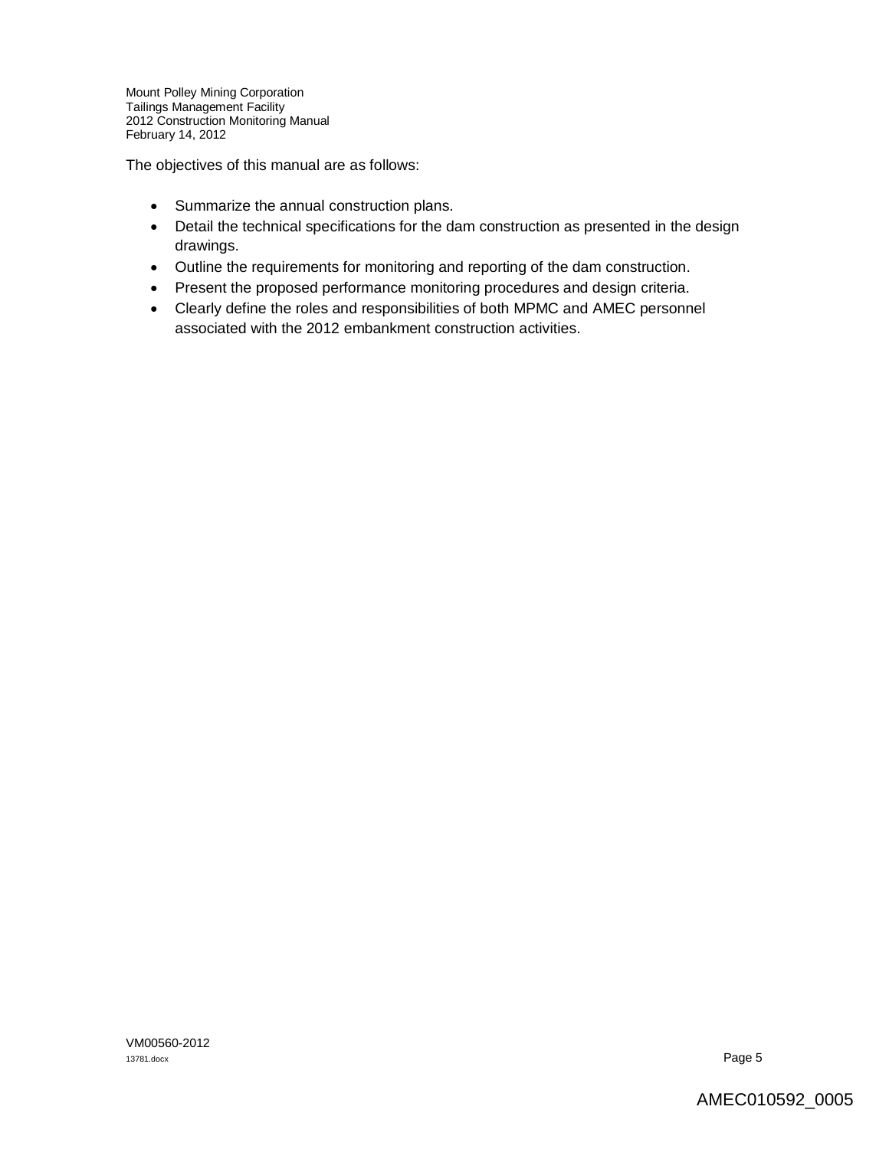The objectives of this manual are as follows:

- Summarize the annual construction plans.
- Detail the technical specifications for the dam construction as presented in the design drawings.
- Outline the requirements for monitoring and reporting of the dam construction.
- Present the proposed performance monitoring procedures and design criteria.
- Clearly define the roles and responsibilities of both MPMC and AMEC personnel associated with the 2012 embankment construction activities.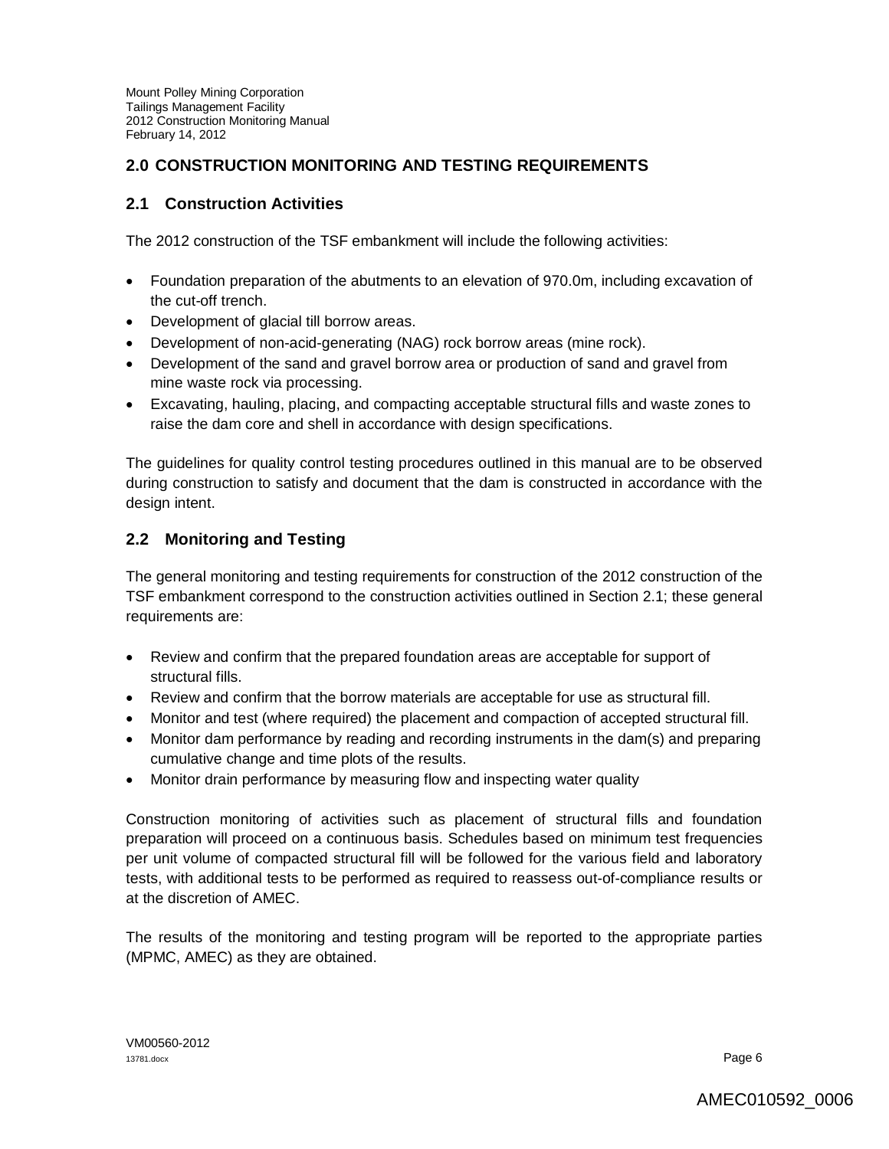# **2.0 CONSTRUCTION MONITORING AND TESTING REQUIREMENTS**

## **2.1 Construction Activities**

The 2012 construction of the TSF embankment will include the following activities:

- Foundation preparation of the abutments to an elevation of 970.0m, including excavation of the cut-off trench.
- Development of glacial till borrow areas.
- Development of non-acid-generating (NAG) rock borrow areas (mine rock).
- Development of the sand and gravel borrow area or production of sand and gravel from mine waste rock via processing.
- Excavating, hauling, placing, and compacting acceptable structural fills and waste zones to raise the dam core and shell in accordance with design specifications.

The guidelines for quality control testing procedures outlined in this manual are to be observed during construction to satisfy and document that the dam is constructed in accordance with the design intent.

## **2.2 Monitoring and Testing**

The general monitoring and testing requirements for construction of the 2012 construction of the TSF embankment correspond to the construction activities outlined in Section 2.1; these general requirements are:

- Review and confirm that the prepared foundation areas are acceptable for support of structural fills.
- Review and confirm that the borrow materials are acceptable for use as structural fill.
- Monitor and test (where required) the placement and compaction of accepted structural fill.
- Monitor dam performance by reading and recording instruments in the dam(s) and preparing cumulative change and time plots of the results.
- Monitor drain performance by measuring flow and inspecting water quality

Construction monitoring of activities such as placement of structural fills and foundation preparation will proceed on a continuous basis. Schedules based on minimum test frequencies per unit volume of compacted structural fill will be followed for the various field and laboratory tests, with additional tests to be performed as required to reassess out-of-compliance results or at the discretion of AMEC.

The results of the monitoring and testing program will be reported to the appropriate parties (MPMC, AMEC) as they are obtained.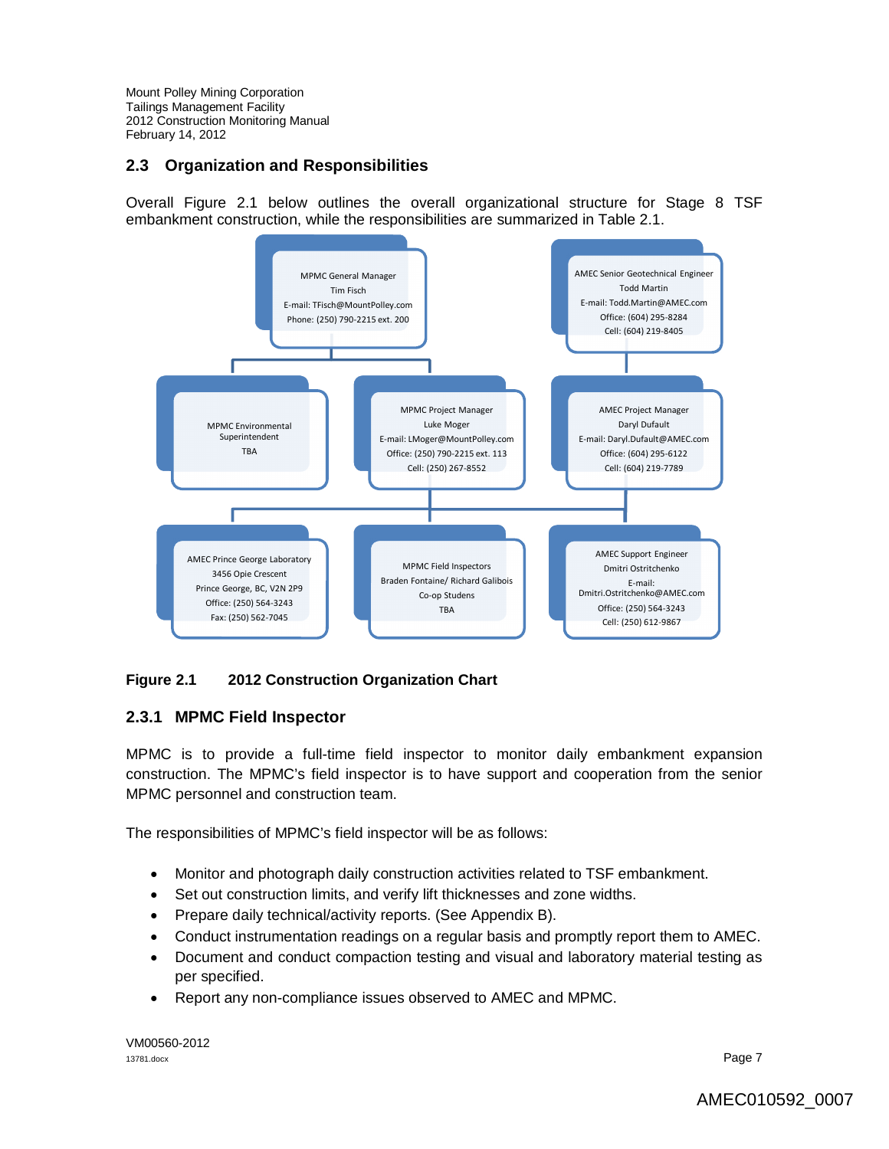## **2.3 Organization and Responsibilities**

Overall Figure 2.1 below outlines the overall organizational structure for Stage 8 TSF embankment construction, while the responsibilities are summarized in Table 2.1.



## **Figure 2.1 2012 Construction Organization Chart**

#### **2.3.1 MPMC Field Inspector**

MPMC is to provide a full-time field inspector to monitor daily embankment expansion construction. The MPMC's field inspector is to have support and cooperation from the senior MPMC personnel and construction team.

The responsibilities of MPMC's field inspector will be as follows:

- Monitor and photograph daily construction activities related to TSF embankment.
- Set out construction limits, and verify lift thicknesses and zone widths.
- Prepare daily technical/activity reports. (See Appendix B).
- Conduct instrumentation readings on a regular basis and promptly report them to AMEC.
- Document and conduct compaction testing and visual and laboratory material testing as per specified.
- Report any non-compliance issues observed to AMEC and MPMC.

VM00560-2012 13781.docx Page 7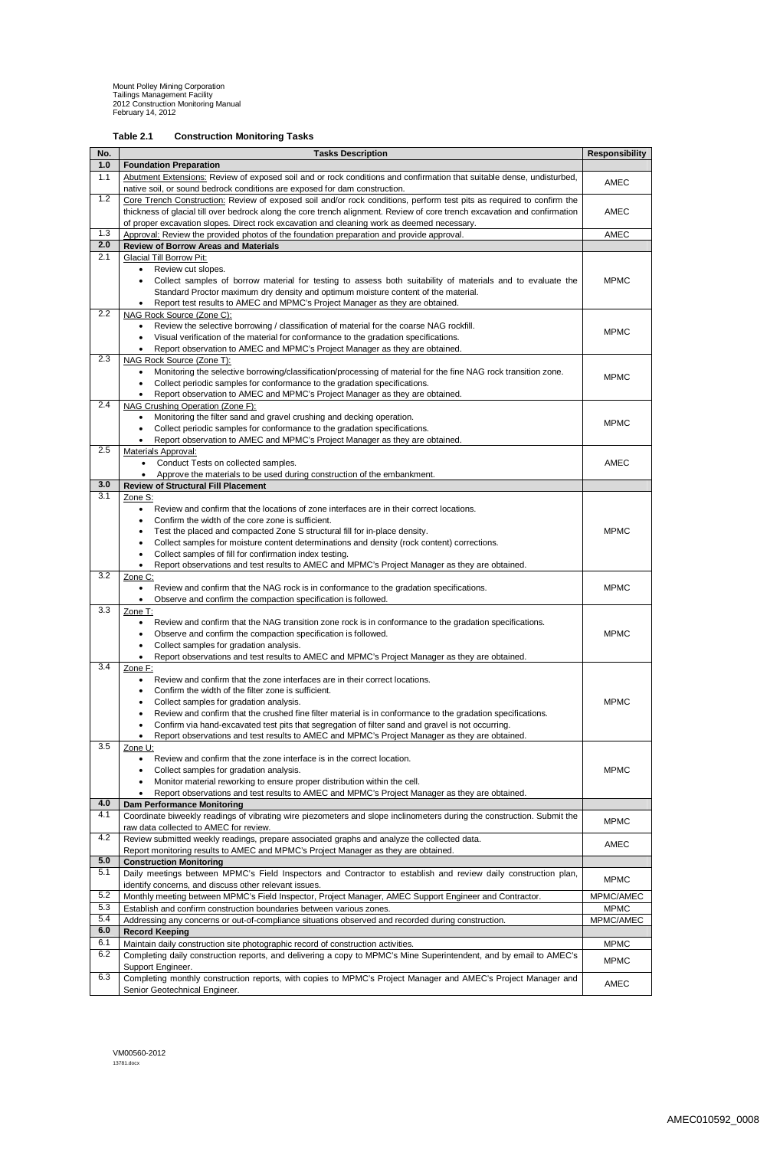VM00560-2012 13781.docx

| Table 2.1 | <b>Construction Monitoring Tasks</b> |
|-----------|--------------------------------------|
|-----------|--------------------------------------|

| No.        | <b>Responsibility</b><br><b>Tasks Description</b>                                                                                                                                                                       |             |  |  |
|------------|-------------------------------------------------------------------------------------------------------------------------------------------------------------------------------------------------------------------------|-------------|--|--|
| 1.0        | <b>Foundation Preparation</b>                                                                                                                                                                                           |             |  |  |
| 1.1        | Abutment Extensions: Review of exposed soil and or rock conditions and confirmation that suitable dense, undisturbed,                                                                                                   | <b>AMEC</b> |  |  |
|            | native soil, or sound bedrock conditions are exposed for dam construction.                                                                                                                                              |             |  |  |
| 1.2        | Core Trench Construction: Review of exposed soil and/or rock conditions, perform test pits as required to confirm the                                                                                                   | <b>AMEC</b> |  |  |
|            | thickness of glacial till over bedrock along the core trench alignment. Review of core trench excavation and confirmation<br>of proper excavation slopes. Direct rock excavation and cleaning work as deemed necessary. |             |  |  |
| 1.3        | Approval: Review the provided photos of the foundation preparation and provide approval.                                                                                                                                | AMEC        |  |  |
| 2.0        | <b>Review of Borrow Areas and Materials</b>                                                                                                                                                                             |             |  |  |
| 2.1        | <b>Glacial Till Borrow Pit:</b>                                                                                                                                                                                         |             |  |  |
|            | Review cut slopes.<br>$\bullet$                                                                                                                                                                                         |             |  |  |
|            | Collect samples of borrow material for testing to assess both suitability of materials and to evaluate the                                                                                                              | <b>MPMC</b> |  |  |
|            | Standard Proctor maximum dry density and optimum moisture content of the material.<br>Report test results to AMEC and MPMC's Project Manager as they are obtained.                                                      |             |  |  |
| 2.2        | NAG Rock Source (Zone C):                                                                                                                                                                                               |             |  |  |
|            | Review the selective borrowing / classification of material for the coarse NAG rockfill.<br>$\bullet$                                                                                                                   | <b>MPMC</b> |  |  |
|            | Visual verification of the material for conformance to the gradation specifications.<br>$\bullet$                                                                                                                       |             |  |  |
|            | Report observation to AMEC and MPMC's Project Manager as they are obtained.                                                                                                                                             |             |  |  |
| 2.3        | NAG Rock Source (Zone T):<br>Monitoring the selective borrowing/classification/processing of material for the fine NAG rock transition zone.<br>$\bullet$                                                               |             |  |  |
|            | Collect periodic samples for conformance to the gradation specifications.                                                                                                                                               | <b>MPMC</b> |  |  |
|            | Report observation to AMEC and MPMC's Project Manager as they are obtained.                                                                                                                                             |             |  |  |
| 2.4        | NAG Crushing Operation (Zone F):                                                                                                                                                                                        |             |  |  |
|            | Monitoring the filter sand and gravel crushing and decking operation.<br>$\bullet$                                                                                                                                      | <b>MPMC</b> |  |  |
|            | Collect periodic samples for conformance to the gradation specifications.                                                                                                                                               |             |  |  |
| 2.5        | Report observation to AMEC and MPMC's Project Manager as they are obtained.<br><b>Materials Approval:</b>                                                                                                               |             |  |  |
|            | Conduct Tests on collected samples.<br>$\bullet$                                                                                                                                                                        | AMEC        |  |  |
|            | Approve the materials to be used during construction of the embankment.                                                                                                                                                 |             |  |  |
| 3.0        | <b>Review of Structural Fill Placement</b>                                                                                                                                                                              |             |  |  |
| 3.1        | Zone S:                                                                                                                                                                                                                 |             |  |  |
|            | Review and confirm that the locations of zone interfaces are in their correct locations.<br>Confirm the width of the core zone is sufficient.                                                                           |             |  |  |
|            | Test the placed and compacted Zone S structural fill for in-place density.                                                                                                                                              | <b>MPMC</b> |  |  |
|            | Collect samples for moisture content determinations and density (rock content) corrections.<br>٠                                                                                                                        |             |  |  |
|            | Collect samples of fill for confirmation index testing.<br>$\bullet$                                                                                                                                                    |             |  |  |
|            | Report observations and test results to AMEC and MPMC's Project Manager as they are obtained.                                                                                                                           |             |  |  |
| 3.2        | Zone C:<br>Review and confirm that the NAG rock is in conformance to the gradation specifications.<br>$\bullet$                                                                                                         | <b>MPMC</b> |  |  |
|            | Observe and confirm the compaction specification is followed.<br>$\bullet$                                                                                                                                              |             |  |  |
| 3.3        | Zone T:                                                                                                                                                                                                                 |             |  |  |
|            | Review and confirm that the NAG transition zone rock is in conformance to the gradation specifications.<br>$\bullet$                                                                                                    |             |  |  |
|            | Observe and confirm the compaction specification is followed.                                                                                                                                                           | <b>MPMC</b> |  |  |
|            | Collect samples for gradation analysis.<br>$\bullet$<br>Report observations and test results to AMEC and MPMC's Project Manager as they are obtained.                                                                   |             |  |  |
| 3.4        | Zone F:                                                                                                                                                                                                                 |             |  |  |
|            | Review and confirm that the zone interfaces are in their correct locations.<br>$\bullet$                                                                                                                                |             |  |  |
|            | Confirm the width of the filter zone is sufficient.                                                                                                                                                                     |             |  |  |
|            | Collect samples for gradation analysis.<br>$\bullet$                                                                                                                                                                    | <b>MPMC</b> |  |  |
|            | Review and confirm that the crushed fine filter material is in conformance to the gradation specifications.<br>Confirm via hand-excavated test pits that segregation of filter sand and gravel is not occurring.        |             |  |  |
|            | ٠<br>Report observations and test results to AMEC and MPMC's Project Manager as they are obtained.                                                                                                                      |             |  |  |
| 3.5        | Zone U:                                                                                                                                                                                                                 |             |  |  |
|            | Review and confirm that the zone interface is in the correct location.<br>$\bullet$                                                                                                                                     |             |  |  |
|            | Collect samples for gradation analysis.                                                                                                                                                                                 | <b>MPMC</b> |  |  |
|            | Monitor material reworking to ensure proper distribution within the cell.<br>Report observations and test results to AMEC and MPMC's Project Manager as they are obtained.                                              |             |  |  |
| 4.0        | <b>Dam Performance Monitoring</b>                                                                                                                                                                                       |             |  |  |
| 4.1        | Coordinate biweekly readings of vibrating wire piezometers and slope inclinometers during the construction. Submit the                                                                                                  |             |  |  |
|            | raw data collected to AMEC for review.                                                                                                                                                                                  | <b>MPMC</b> |  |  |
| 4.2        | Review submitted weekly readings, prepare associated graphs and analyze the collected data.                                                                                                                             | <b>AMEC</b> |  |  |
| 5.0        | Report monitoring results to AMEC and MPMC's Project Manager as they are obtained.                                                                                                                                      |             |  |  |
| 5.1        | <b>Construction Monitoring</b><br>Daily meetings between MPMC's Field Inspectors and Contractor to establish and review daily construction plan,                                                                        |             |  |  |
|            | identify concerns, and discuss other relevant issues.                                                                                                                                                                   | <b>MPMC</b> |  |  |
| 5.2        | Monthly meeting between MPMC's Field Inspector, Project Manager, AMEC Support Engineer and Contractor.                                                                                                                  | MPMC/AMEC   |  |  |
| 5.3        | Establish and confirm construction boundaries between various zones.                                                                                                                                                    | <b>MPMC</b> |  |  |
| 5.4        | Addressing any concerns or out-of-compliance situations observed and recorded during construction.                                                                                                                      | MPMC/AMEC   |  |  |
| 6.0<br>6.1 | <b>Record Keeping</b>                                                                                                                                                                                                   |             |  |  |
| 6.2        | Maintain daily construction site photographic record of construction activities.<br>Completing daily construction reports, and delivering a copy to MPMC's Mine Superintendent, and by email to AMEC's                  | <b>MPMC</b> |  |  |
|            | Support Engineer.                                                                                                                                                                                                       | <b>MPMC</b> |  |  |
| 6.3        | Completing monthly construction reports, with copies to MPMC's Project Manager and AMEC's Project Manager and                                                                                                           |             |  |  |
|            | Senior Geotechnical Engineer.                                                                                                                                                                                           | AMEC        |  |  |

AMEC010592\_0008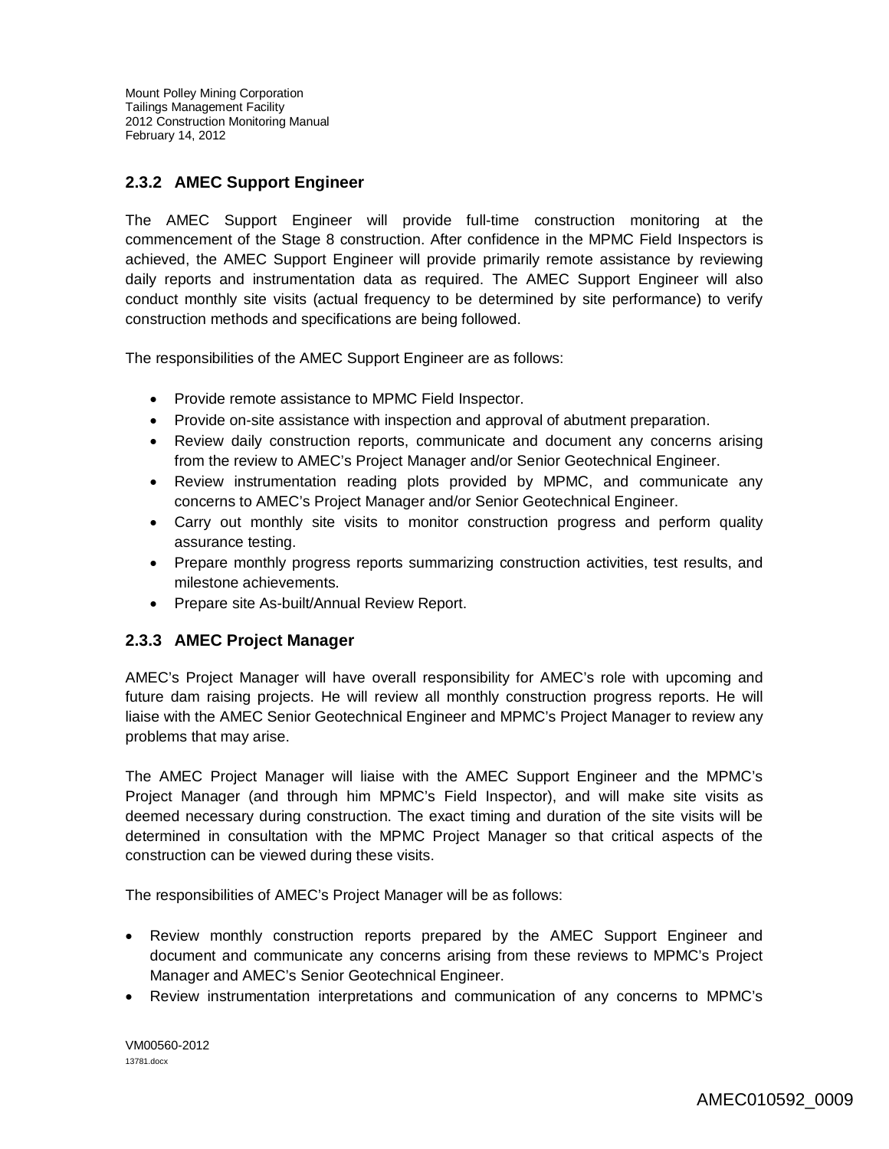# **2.3.2 AMEC Support Engineer**

The AMEC Support Engineer will provide full-time construction monitoring at the commencement of the Stage 8 construction. After confidence in the MPMC Field Inspectors is achieved, the AMEC Support Engineer will provide primarily remote assistance by reviewing daily reports and instrumentation data as required. The AMEC Support Engineer will also conduct monthly site visits (actual frequency to be determined by site performance) to verify construction methods and specifications are being followed.

The responsibilities of the AMEC Support Engineer are as follows:

- Provide remote assistance to MPMC Field Inspector.
- Provide on-site assistance with inspection and approval of abutment preparation.
- Review daily construction reports, communicate and document any concerns arising from the review to AMEC's Project Manager and/or Senior Geotechnical Engineer.
- Review instrumentation reading plots provided by MPMC, and communicate any concerns to AMEC's Project Manager and/or Senior Geotechnical Engineer.
- Carry out monthly site visits to monitor construction progress and perform quality assurance testing.
- Prepare monthly progress reports summarizing construction activities, test results, and milestone achievements.
- Prepare site As-built/Annual Review Report.

## **2.3.3 AMEC Project Manager**

AMEC's Project Manager will have overall responsibility for AMEC's role with upcoming and future dam raising projects. He will review all monthly construction progress reports. He will liaise with the AMEC Senior Geotechnical Engineer and MPMC's Project Manager to review any problems that may arise.

The AMEC Project Manager will liaise with the AMEC Support Engineer and the MPMC's Project Manager (and through him MPMC's Field Inspector), and will make site visits as deemed necessary during construction. The exact timing and duration of the site visits will be determined in consultation with the MPMC Project Manager so that critical aspects of the construction can be viewed during these visits.

The responsibilities of AMEC's Project Manager will be as follows:

- Review monthly construction reports prepared by the AMEC Support Engineer and document and communicate any concerns arising from these reviews to MPMC's Project Manager and AMEC's Senior Geotechnical Engineer.
- Review instrumentation interpretations and communication of any concerns to MPMC's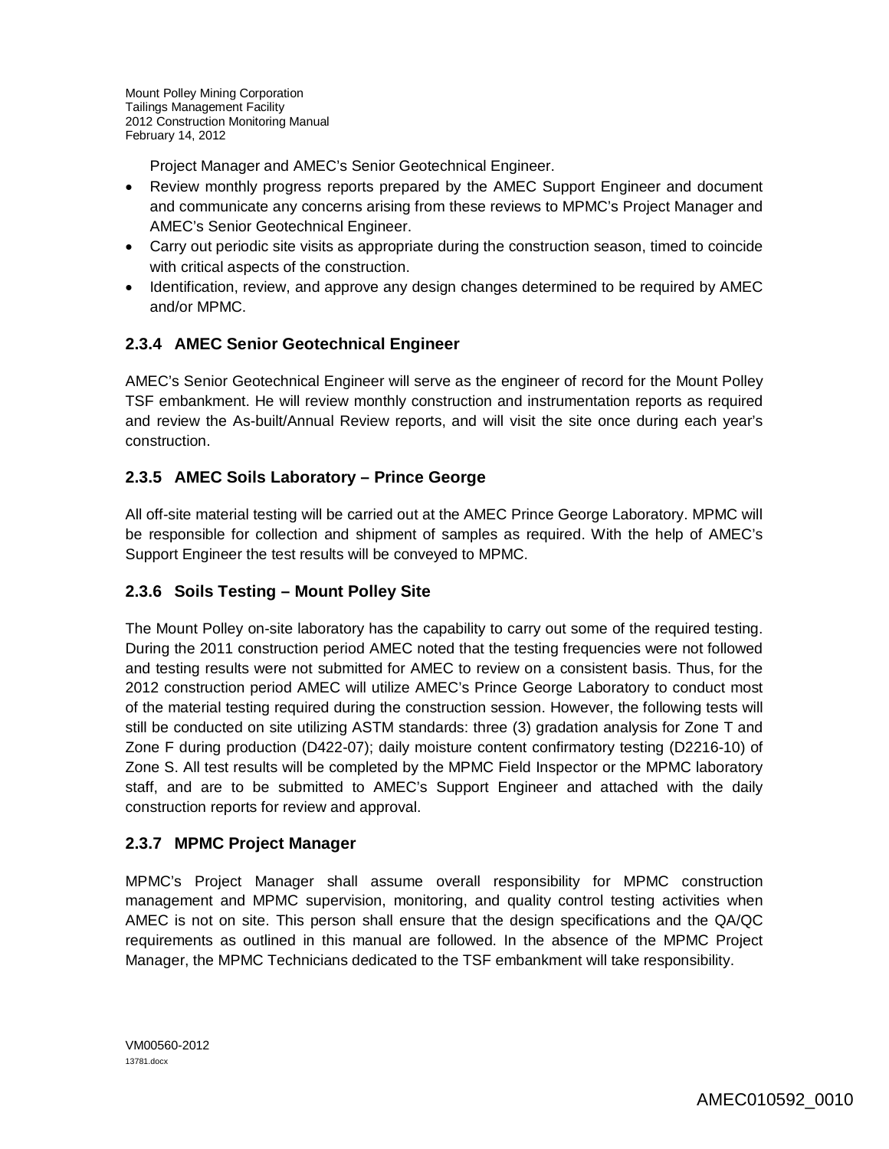Project Manager and AMEC's Senior Geotechnical Engineer.

- Review monthly progress reports prepared by the AMEC Support Engineer and document and communicate any concerns arising from these reviews to MPMC's Project Manager and AMEC's Senior Geotechnical Engineer.
- Carry out periodic site visits as appropriate during the construction season, timed to coincide with critical aspects of the construction.
- Identification, review, and approve any design changes determined to be required by AMEC and/or MPMC.

# **2.3.4 AMEC Senior Geotechnical Engineer**

AMEC's Senior Geotechnical Engineer will serve as the engineer of record for the Mount Polley TSF embankment. He will review monthly construction and instrumentation reports as required and review the As-built/Annual Review reports, and will visit the site once during each year's construction.

# **2.3.5 AMEC Soils Laboratory – Prince George**

All off-site material testing will be carried out at the AMEC Prince George Laboratory. MPMC will be responsible for collection and shipment of samples as required. With the help of AMEC's Support Engineer the test results will be conveyed to MPMC.

## **2.3.6 Soils Testing – Mount Polley Site**

The Mount Polley on-site laboratory has the capability to carry out some of the required testing. During the 2011 construction period AMEC noted that the testing frequencies were not followed and testing results were not submitted for AMEC to review on a consistent basis. Thus, for the 2012 construction period AMEC will utilize AMEC's Prince George Laboratory to conduct most of the material testing required during the construction session. However, the following tests will still be conducted on site utilizing ASTM standards: three (3) gradation analysis for Zone T and Zone F during production (D422-07); daily moisture content confirmatory testing (D2216-10) of Zone S. All test results will be completed by the MPMC Field Inspector or the MPMC laboratory staff, and are to be submitted to AMEC's Support Engineer and attached with the daily construction reports for review and approval.

## **2.3.7 MPMC Project Manager**

MPMC's Project Manager shall assume overall responsibility for MPMC construction management and MPMC supervision, monitoring, and quality control testing activities when AMEC is not on site. This person shall ensure that the design specifications and the QA/QC requirements as outlined in this manual are followed. In the absence of the MPMC Project Manager, the MPMC Technicians dedicated to the TSF embankment will take responsibility.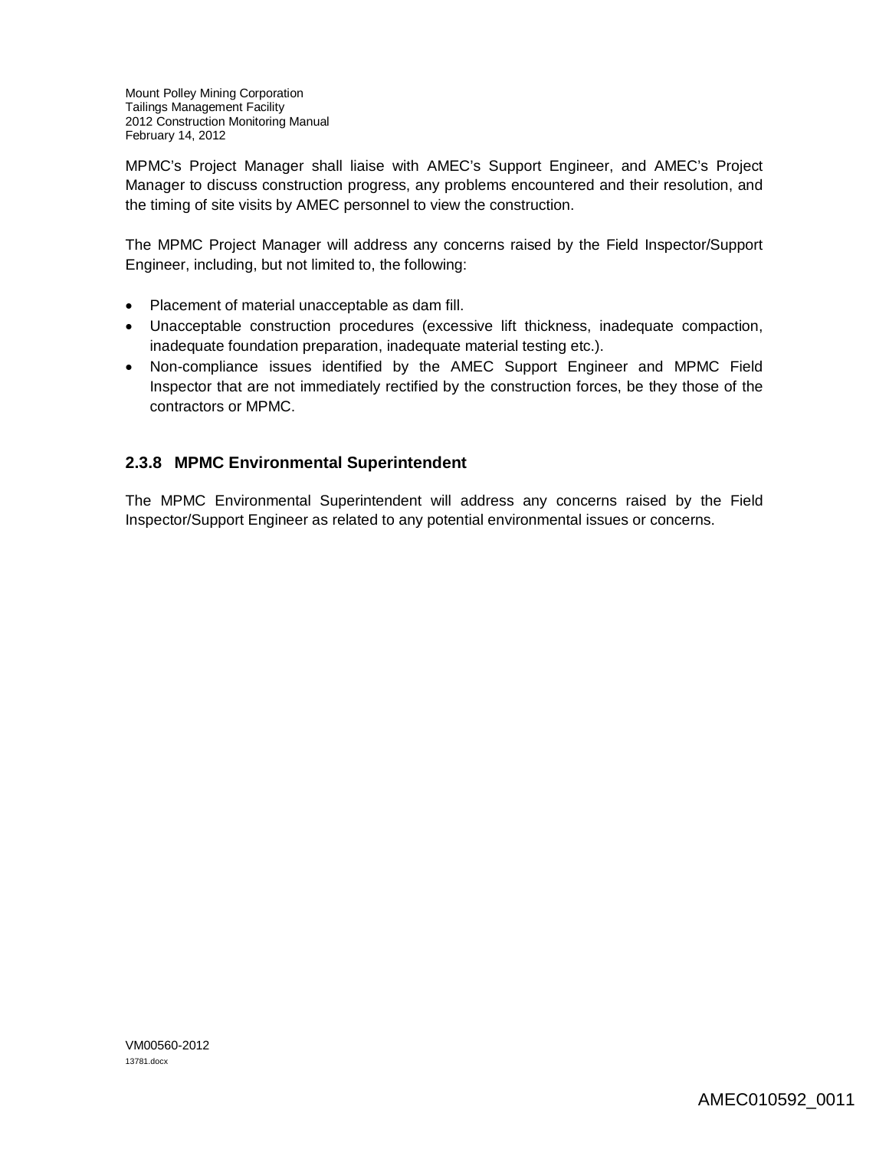MPMC's Project Manager shall liaise with AMEC's Support Engineer, and AMEC's Project Manager to discuss construction progress, any problems encountered and their resolution, and the timing of site visits by AMEC personnel to view the construction.

The MPMC Project Manager will address any concerns raised by the Field Inspector/Support Engineer, including, but not limited to, the following:

- Placement of material unacceptable as dam fill.
- Unacceptable construction procedures (excessive lift thickness, inadequate compaction, inadequate foundation preparation, inadequate material testing etc.).
- Non-compliance issues identified by the AMEC Support Engineer and MPMC Field Inspector that are not immediately rectified by the construction forces, be they those of the contractors or MPMC.

# **2.3.8 MPMC Environmental Superintendent**

The MPMC Environmental Superintendent will address any concerns raised by the Field Inspector/Support Engineer as related to any potential environmental issues or concerns.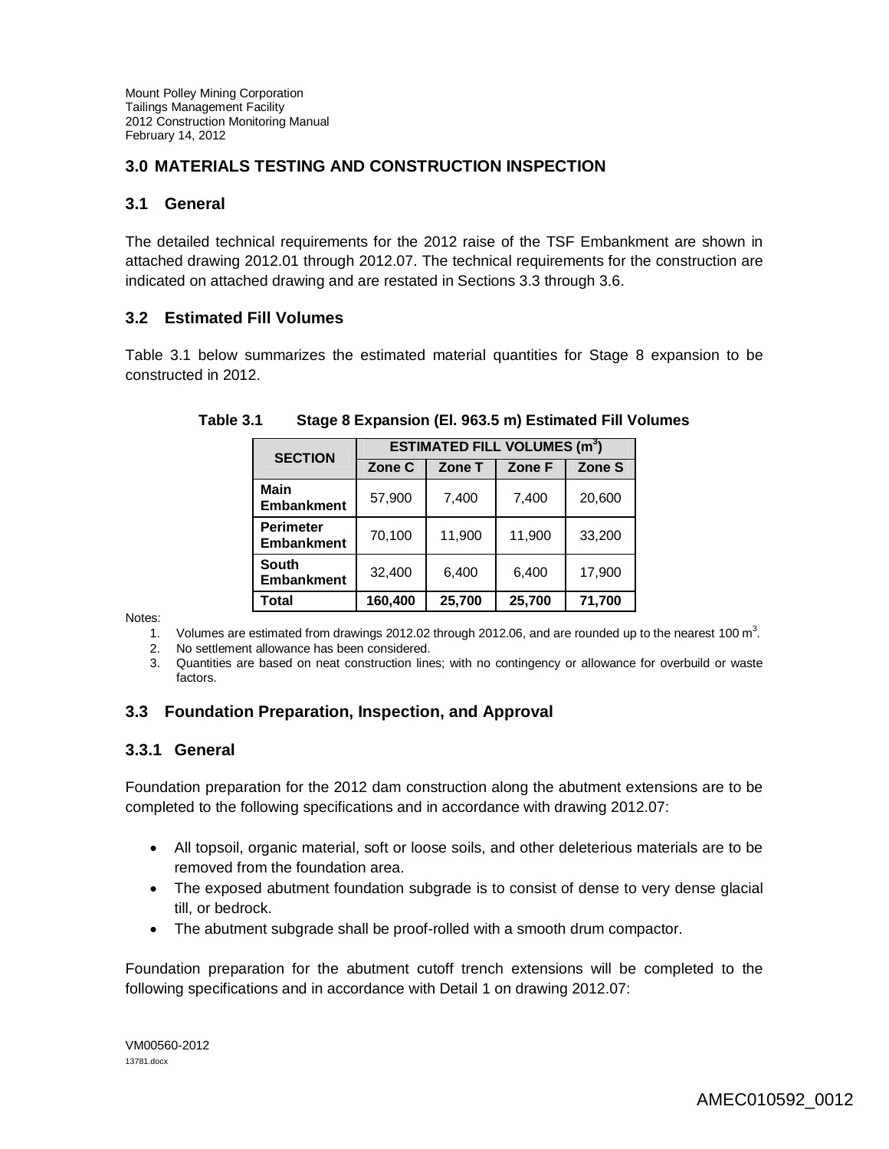# **3.0 MATERIALS TESTING AND CONSTRUCTION INSPECTION**

#### **3.1 General**

The detailed technical requirements for the 2012 raise of the TSF Embankment are shown in attached drawing 2012.01 through 2012.07. The technical requirements for the construction are indicated on attached drawing and are restated in Sections 3.3 through 3.6.

#### **3.2 Estimated Fill Volumes**

Table 3.1 below summarizes the estimated material quantities for Stage 8 expansion to be constructed in 2012.

| <b>SECTION</b>                        | <b>ESTIMATED FILL VOLUMES (m<sup>3</sup>)</b> |        |        |        |  |
|---------------------------------------|-----------------------------------------------|--------|--------|--------|--|
|                                       | Zone C                                        | Zone T | Zone F | Zone S |  |
| <b>Main</b><br><b>Embankment</b>      | 57,900                                        | 7,400  | 7,400  | 20,600 |  |
| <b>Perimeter</b><br><b>Embankment</b> | 70,100                                        | 11,900 | 11,900 | 33,200 |  |
| South<br><b>Embankment</b>            | 32,400                                        | 6,400  | 6,400  | 17,900 |  |
| Total                                 | 160,400                                       | 25,700 | 25,700 | 71,700 |  |

**Table 3.1 Stage 8 Expansion (El. 963.5 m) Estimated Fill Volumes**

Notes:

1. Volumes are estimated from drawings 2012.02 through 2012.06, and are rounded up to the nearest 100  $m<sup>3</sup>$ .

- 2. No settlement allowance has been considered.
- 3. Quantities are based on neat construction lines; with no contingency or allowance for overbuild or waste factors.

## **3.3 Foundation Preparation, Inspection, and Approval**

#### **3.3.1 General**

Foundation preparation for the 2012 dam construction along the abutment extensions are to be completed to the following specifications and in accordance with drawing 2012.07:

- All topsoil, organic material, soft or loose soils, and other deleterious materials are to be removed from the foundation area.
- The exposed abutment foundation subgrade is to consist of dense to very dense glacial till, or bedrock.
- The abutment subgrade shall be proof-rolled with a smooth drum compactor.

Foundation preparation for the abutment cutoff trench extensions will be completed to the following specifications and in accordance with Detail 1 on drawing 2012.07: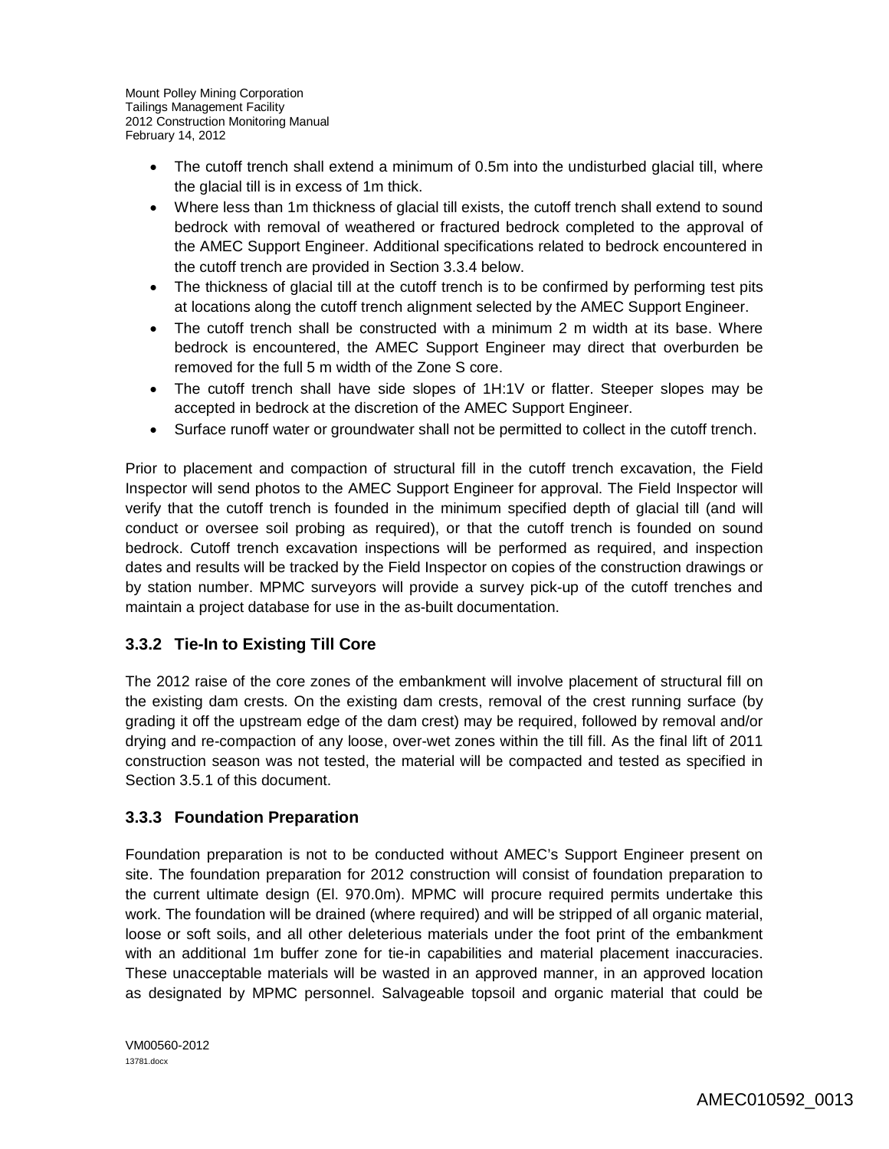- The cutoff trench shall extend a minimum of 0.5m into the undisturbed glacial till, where the glacial till is in excess of 1m thick.
- Where less than 1m thickness of glacial till exists, the cutoff trench shall extend to sound bedrock with removal of weathered or fractured bedrock completed to the approval of the AMEC Support Engineer. Additional specifications related to bedrock encountered in the cutoff trench are provided in Section 3.3.4 below.
- The thickness of glacial till at the cutoff trench is to be confirmed by performing test pits at locations along the cutoff trench alignment selected by the AMEC Support Engineer.
- The cutoff trench shall be constructed with a minimum 2 m width at its base. Where bedrock is encountered, the AMEC Support Engineer may direct that overburden be removed for the full 5 m width of the Zone S core.
- The cutoff trench shall have side slopes of 1H:1V or flatter. Steeper slopes may be accepted in bedrock at the discretion of the AMEC Support Engineer.
- Surface runoff water or groundwater shall not be permitted to collect in the cutoff trench.

Prior to placement and compaction of structural fill in the cutoff trench excavation, the Field Inspector will send photos to the AMEC Support Engineer for approval. The Field Inspector will verify that the cutoff trench is founded in the minimum specified depth of glacial till (and will conduct or oversee soil probing as required), or that the cutoff trench is founded on sound bedrock. Cutoff trench excavation inspections will be performed as required, and inspection dates and results will be tracked by the Field Inspector on copies of the construction drawings or by station number. MPMC surveyors will provide a survey pick-up of the cutoff trenches and maintain a project database for use in the as-built documentation.

# **3.3.2 Tie-In to Existing Till Core**

The 2012 raise of the core zones of the embankment will involve placement of structural fill on the existing dam crests. On the existing dam crests, removal of the crest running surface (by grading it off the upstream edge of the dam crest) may be required, followed by removal and/or drying and re-compaction of any loose, over-wet zones within the till fill. As the final lift of 2011 construction season was not tested, the material will be compacted and tested as specified in Section 3.5.1 of this document.

## **3.3.3 Foundation Preparation**

Foundation preparation is not to be conducted without AMEC's Support Engineer present on site. The foundation preparation for 2012 construction will consist of foundation preparation to the current ultimate design (El. 970.0m). MPMC will procure required permits undertake this work. The foundation will be drained (where required) and will be stripped of all organic material, loose or soft soils, and all other deleterious materials under the foot print of the embankment with an additional 1m buffer zone for tie-in capabilities and material placement inaccuracies. These unacceptable materials will be wasted in an approved manner, in an approved location as designated by MPMC personnel. Salvageable topsoil and organic material that could be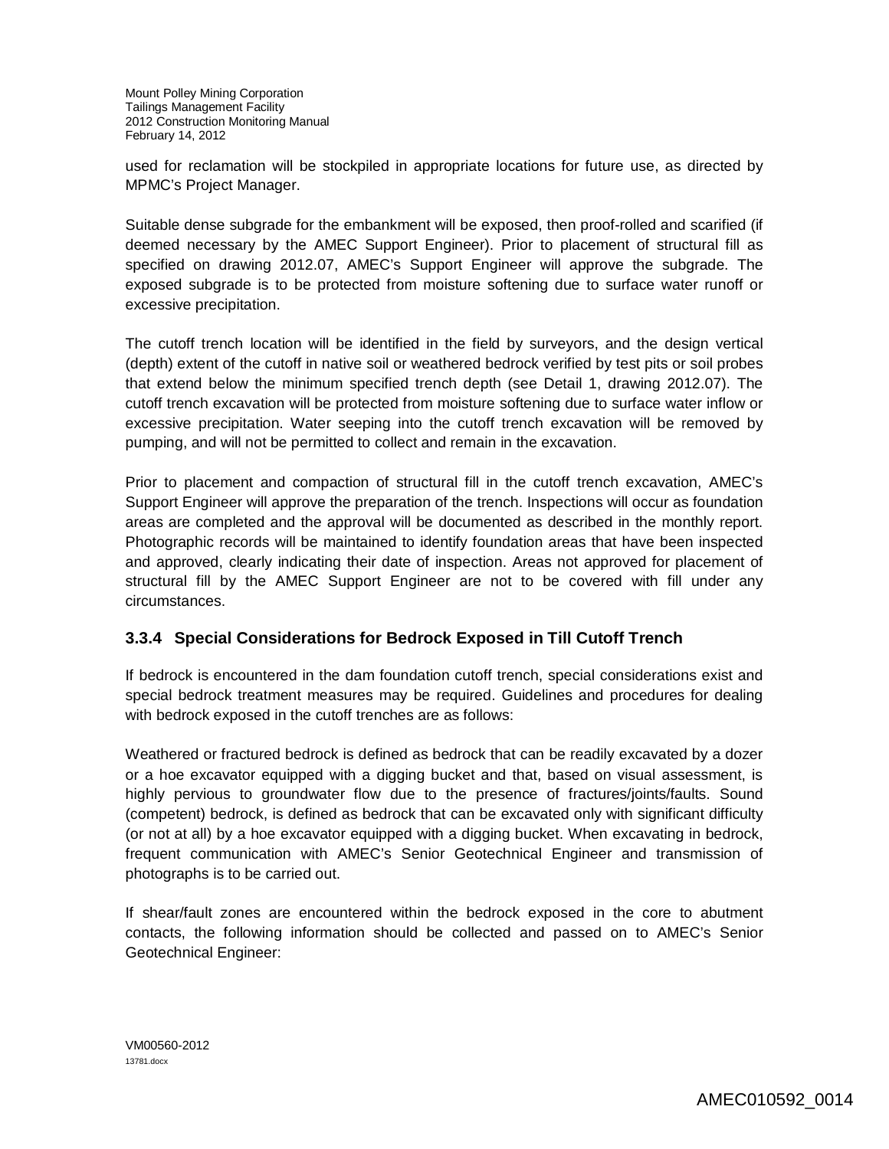used for reclamation will be stockpiled in appropriate locations for future use, as directed by MPMC's Project Manager.

Suitable dense subgrade for the embankment will be exposed, then proof-rolled and scarified (if deemed necessary by the AMEC Support Engineer). Prior to placement of structural fill as specified on drawing 2012.07, AMEC's Support Engineer will approve the subgrade. The exposed subgrade is to be protected from moisture softening due to surface water runoff or excessive precipitation.

The cutoff trench location will be identified in the field by surveyors, and the design vertical (depth) extent of the cutoff in native soil or weathered bedrock verified by test pits or soil probes that extend below the minimum specified trench depth (see Detail 1, drawing 2012.07). The cutoff trench excavation will be protected from moisture softening due to surface water inflow or excessive precipitation. Water seeping into the cutoff trench excavation will be removed by pumping, and will not be permitted to collect and remain in the excavation.

Prior to placement and compaction of structural fill in the cutoff trench excavation, AMEC's Support Engineer will approve the preparation of the trench. Inspections will occur as foundation areas are completed and the approval will be documented as described in the monthly report. Photographic records will be maintained to identify foundation areas that have been inspected and approved, clearly indicating their date of inspection. Areas not approved for placement of structural fill by the AMEC Support Engineer are not to be covered with fill under any circumstances.

## **3.3.4 Special Considerations for Bedrock Exposed in Till Cutoff Trench**

If bedrock is encountered in the dam foundation cutoff trench, special considerations exist and special bedrock treatment measures may be required. Guidelines and procedures for dealing with bedrock exposed in the cutoff trenches are as follows:

Weathered or fractured bedrock is defined as bedrock that can be readily excavated by a dozer or a hoe excavator equipped with a digging bucket and that, based on visual assessment, is highly pervious to groundwater flow due to the presence of fractures/joints/faults. Sound (competent) bedrock, is defined as bedrock that can be excavated only with significant difficulty (or not at all) by a hoe excavator equipped with a digging bucket. When excavating in bedrock, frequent communication with AMEC's Senior Geotechnical Engineer and transmission of photographs is to be carried out.

If shear/fault zones are encountered within the bedrock exposed in the core to abutment contacts, the following information should be collected and passed on to AMEC's Senior Geotechnical Engineer: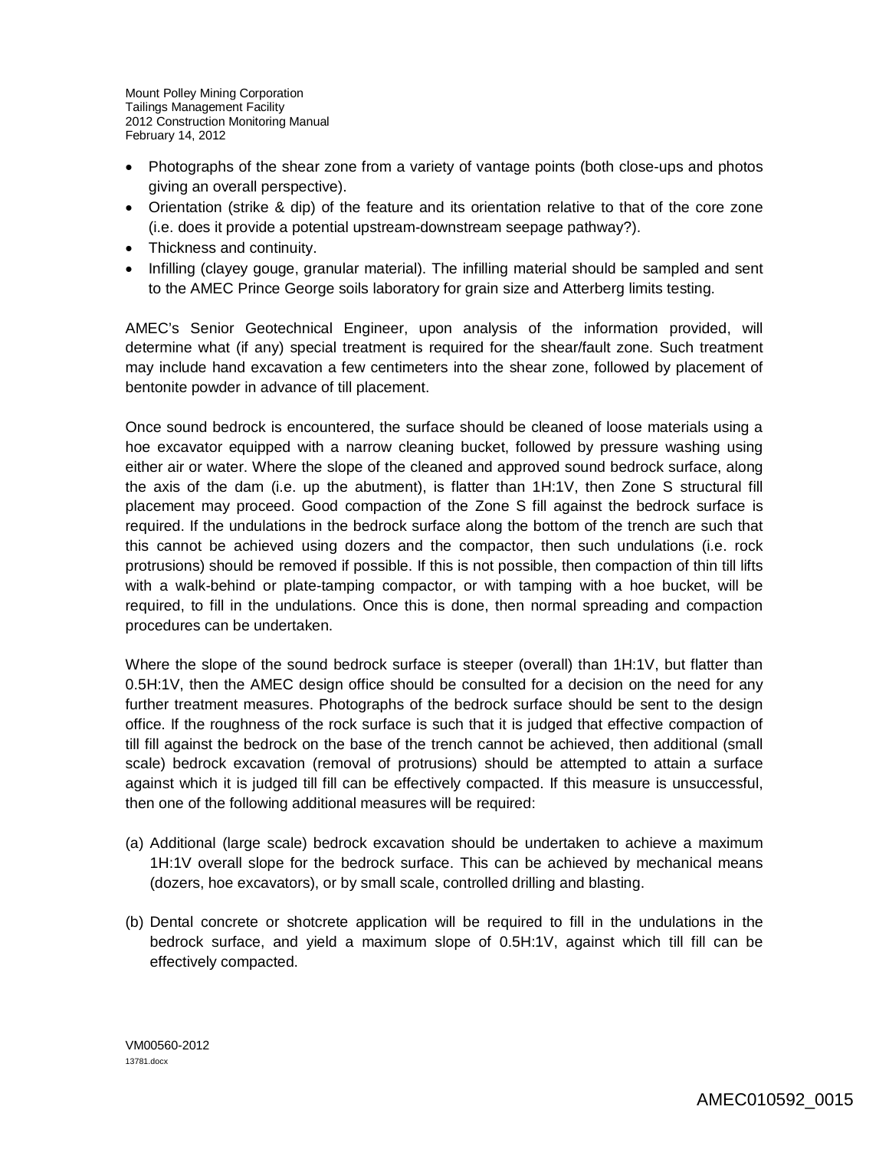- Photographs of the shear zone from a variety of vantage points (both close-ups and photos giving an overall perspective).
- Orientation (strike & dip) of the feature and its orientation relative to that of the core zone (i.e. does it provide a potential upstream-downstream seepage pathway?).
- Thickness and continuity.
- Infilling (clayey gouge, granular material). The infilling material should be sampled and sent to the AMEC Prince George soils laboratory for grain size and Atterberg limits testing.

AMEC's Senior Geotechnical Engineer, upon analysis of the information provided, will determine what (if any) special treatment is required for the shear/fault zone. Such treatment may include hand excavation a few centimeters into the shear zone, followed by placement of bentonite powder in advance of till placement.

Once sound bedrock is encountered, the surface should be cleaned of loose materials using a hoe excavator equipped with a narrow cleaning bucket, followed by pressure washing using either air or water. Where the slope of the cleaned and approved sound bedrock surface, along the axis of the dam (i.e. up the abutment), is flatter than 1H:1V, then Zone S structural fill placement may proceed. Good compaction of the Zone S fill against the bedrock surface is required. If the undulations in the bedrock surface along the bottom of the trench are such that this cannot be achieved using dozers and the compactor, then such undulations (i.e. rock protrusions) should be removed if possible. If this is not possible, then compaction of thin till lifts with a walk-behind or plate-tamping compactor, or with tamping with a hoe bucket, will be required, to fill in the undulations. Once this is done, then normal spreading and compaction procedures can be undertaken.

Where the slope of the sound bedrock surface is steeper (overall) than 1H:1V, but flatter than 0.5H:1V, then the AMEC design office should be consulted for a decision on the need for any further treatment measures. Photographs of the bedrock surface should be sent to the design office. If the roughness of the rock surface is such that it is judged that effective compaction of till fill against the bedrock on the base of the trench cannot be achieved, then additional (small scale) bedrock excavation (removal of protrusions) should be attempted to attain a surface against which it is judged till fill can be effectively compacted. If this measure is unsuccessful, then one of the following additional measures will be required:

- (a) Additional (large scale) bedrock excavation should be undertaken to achieve a maximum 1H:1V overall slope for the bedrock surface. This can be achieved by mechanical means (dozers, hoe excavators), or by small scale, controlled drilling and blasting.
- (b) Dental concrete or shotcrete application will be required to fill in the undulations in the bedrock surface, and yield a maximum slope of 0.5H:1V, against which till fill can be effectively compacted.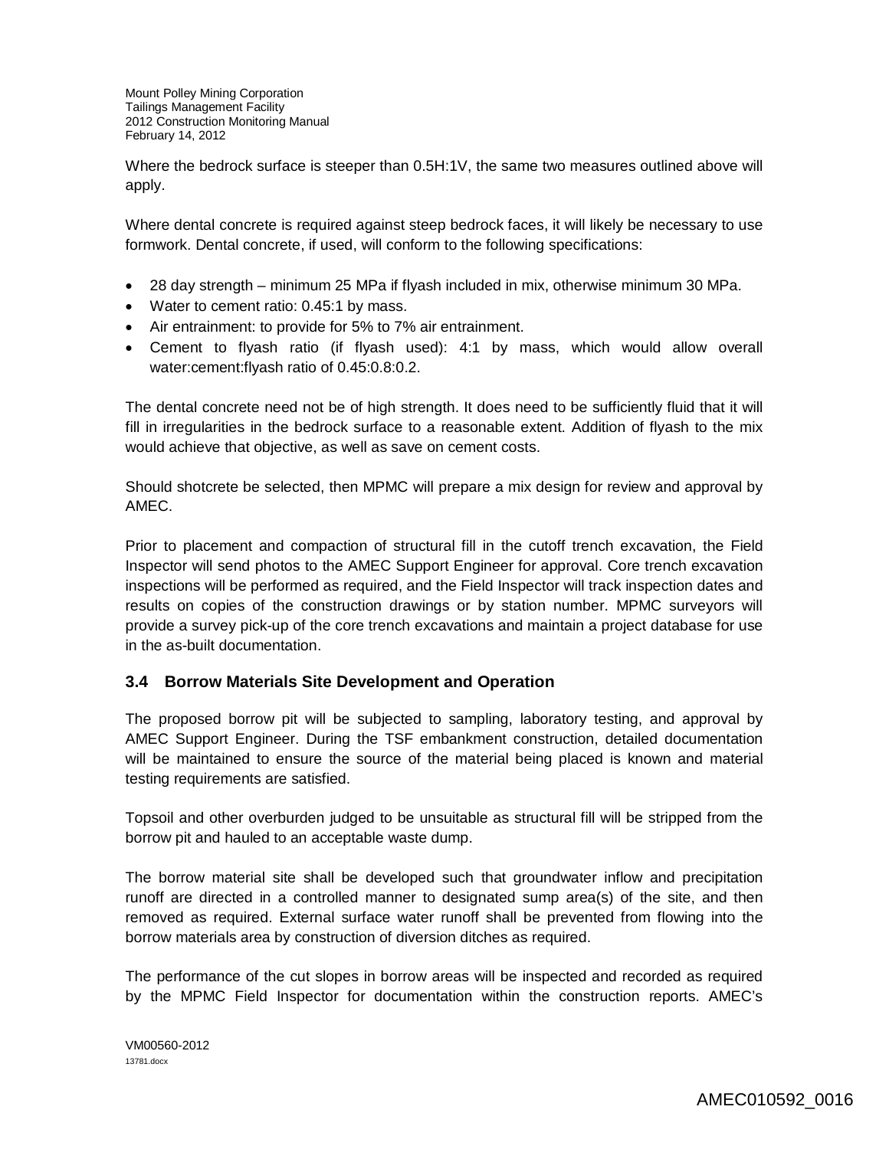Where the bedrock surface is steeper than 0.5H:1V, the same two measures outlined above will apply.

Where dental concrete is required against steep bedrock faces, it will likely be necessary to use formwork. Dental concrete, if used, will conform to the following specifications:

- 28 day strength minimum 25 MPa if flyash included in mix, otherwise minimum 30 MPa.
- Water to cement ratio: 0.45:1 by mass.
- Air entrainment: to provide for 5% to 7% air entrainment.
- Cement to flyash ratio (if flyash used): 4:1 by mass, which would allow overall water:cement:flyash ratio of 0.45:0.8:0.2.

The dental concrete need not be of high strength. It does need to be sufficiently fluid that it will fill in irregularities in the bedrock surface to a reasonable extent. Addition of flyash to the mix would achieve that objective, as well as save on cement costs.

Should shotcrete be selected, then MPMC will prepare a mix design for review and approval by AMEC.

Prior to placement and compaction of structural fill in the cutoff trench excavation, the Field Inspector will send photos to the AMEC Support Engineer for approval. Core trench excavation inspections will be performed as required, and the Field Inspector will track inspection dates and results on copies of the construction drawings or by station number. MPMC surveyors will provide a survey pick-up of the core trench excavations and maintain a project database for use in the as-built documentation.

## **3.4 Borrow Materials Site Development and Operation**

The proposed borrow pit will be subjected to sampling, laboratory testing, and approval by AMEC Support Engineer. During the TSF embankment construction, detailed documentation will be maintained to ensure the source of the material being placed is known and material testing requirements are satisfied.

Topsoil and other overburden judged to be unsuitable as structural fill will be stripped from the borrow pit and hauled to an acceptable waste dump.

The borrow material site shall be developed such that groundwater inflow and precipitation runoff are directed in a controlled manner to designated sump area(s) of the site, and then removed as required. External surface water runoff shall be prevented from flowing into the borrow materials area by construction of diversion ditches as required.

The performance of the cut slopes in borrow areas will be inspected and recorded as required by the MPMC Field Inspector for documentation within the construction reports. AMEC's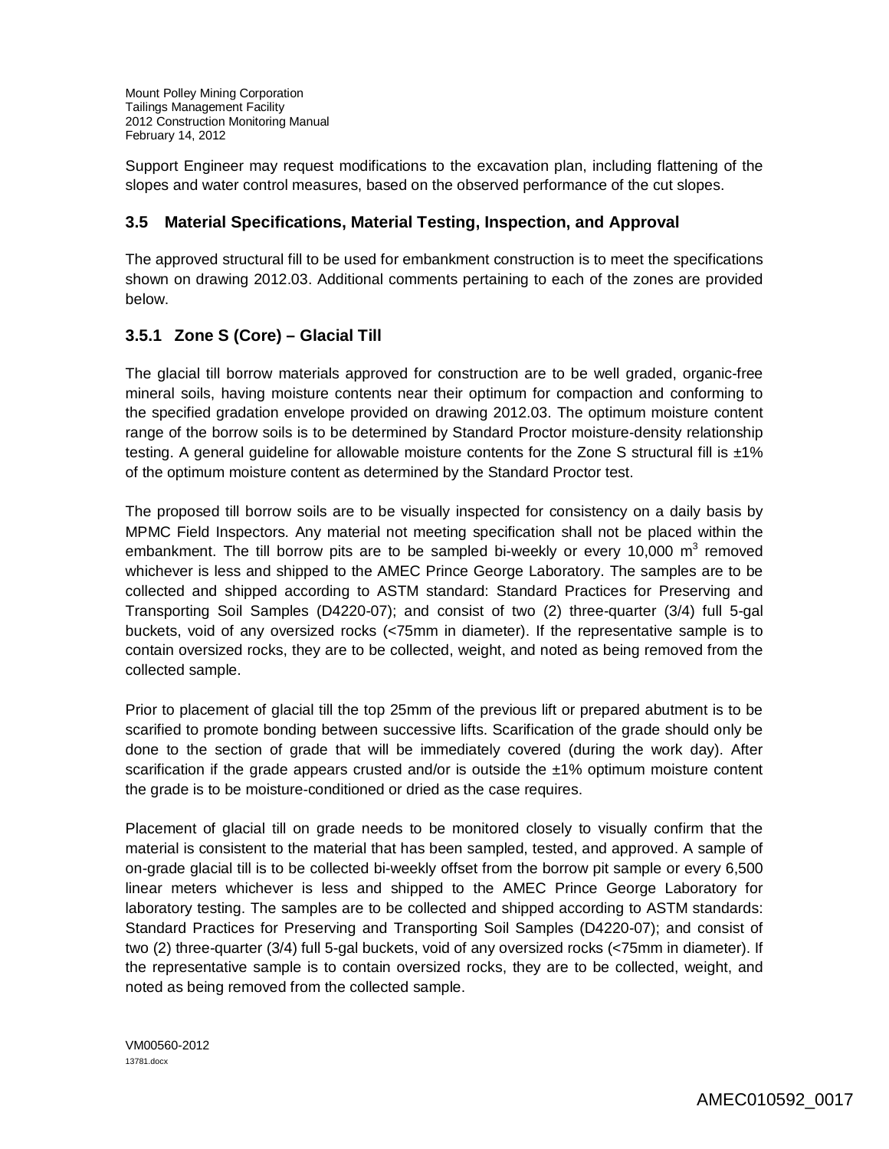Support Engineer may request modifications to the excavation plan, including flattening of the slopes and water control measures, based on the observed performance of the cut slopes.

## **3.5 Material Specifications, Material Testing, Inspection, and Approval**

The approved structural fill to be used for embankment construction is to meet the specifications shown on drawing 2012.03. Additional comments pertaining to each of the zones are provided below.

## **3.5.1 Zone S (Core) – Glacial Till**

The glacial till borrow materials approved for construction are to be well graded, organic-free mineral soils, having moisture contents near their optimum for compaction and conforming to the specified gradation envelope provided on drawing 2012.03. The optimum moisture content range of the borrow soils is to be determined by Standard Proctor moisture-density relationship testing. A general guideline for allowable moisture contents for the Zone S structural fill is ±1% of the optimum moisture content as determined by the Standard Proctor test.

The proposed till borrow soils are to be visually inspected for consistency on a daily basis by MPMC Field Inspectors. Any material not meeting specification shall not be placed within the embankment. The till borrow pits are to be sampled bi-weekly or every 10,000  $m^3$  removed whichever is less and shipped to the AMEC Prince George Laboratory. The samples are to be collected and shipped according to ASTM standard: Standard Practices for Preserving and Transporting Soil Samples (D4220-07); and consist of two (2) three-quarter (3/4) full 5-gal buckets, void of any oversized rocks (<75mm in diameter). If the representative sample is to contain oversized rocks, they are to be collected, weight, and noted as being removed from the collected sample.

Prior to placement of glacial till the top 25mm of the previous lift or prepared abutment is to be scarified to promote bonding between successive lifts. Scarification of the grade should only be done to the section of grade that will be immediately covered (during the work day). After scarification if the grade appears crusted and/or is outside the ±1% optimum moisture content the grade is to be moisture-conditioned or dried as the case requires.

Placement of glacial till on grade needs to be monitored closely to visually confirm that the material is consistent to the material that has been sampled, tested, and approved. A sample of on-grade glacial till is to be collected bi-weekly offset from the borrow pit sample or every 6,500 linear meters whichever is less and shipped to the AMEC Prince George Laboratory for laboratory testing. The samples are to be collected and shipped according to ASTM standards: Standard Practices for Preserving and Transporting Soil Samples (D4220-07); and consist of two (2) three-quarter (3/4) full 5-gal buckets, void of any oversized rocks (<75mm in diameter). If the representative sample is to contain oversized rocks, they are to be collected, weight, and noted as being removed from the collected sample.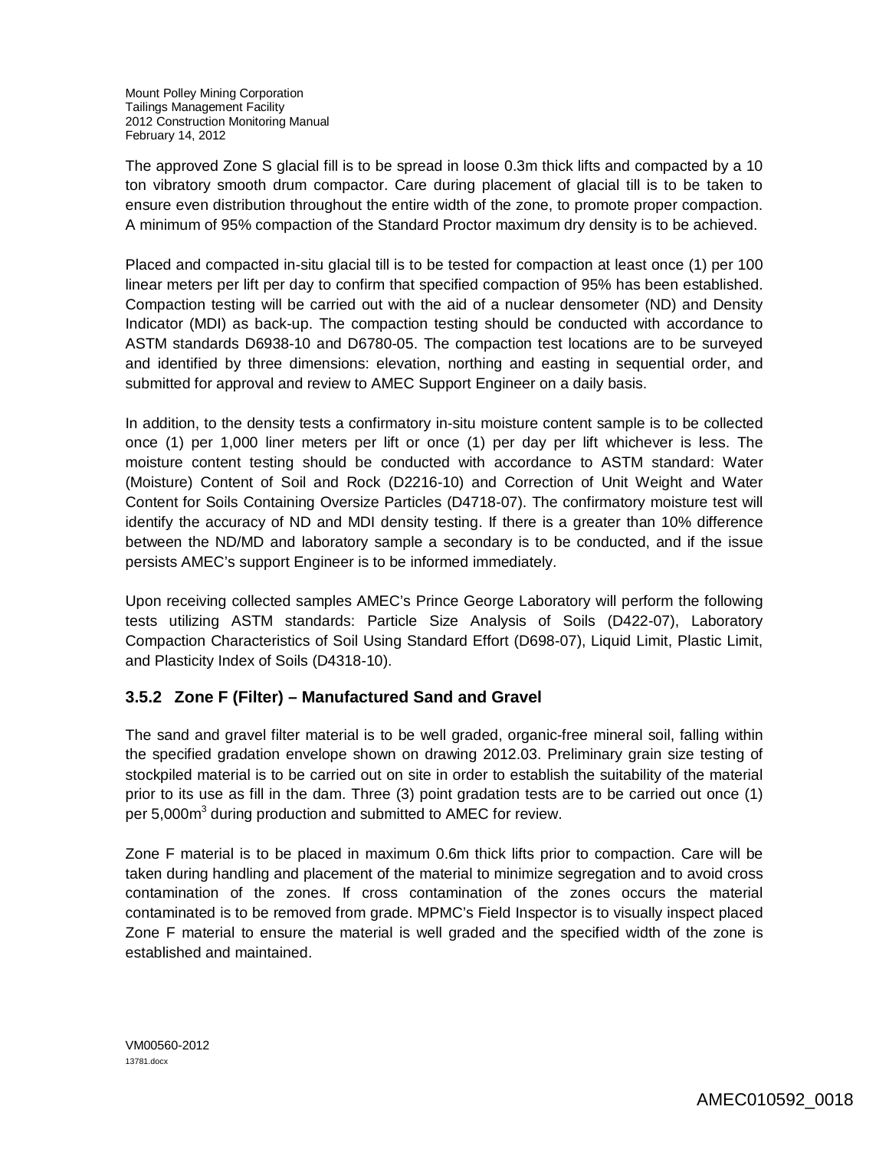The approved Zone S glacial fill is to be spread in loose 0.3m thick lifts and compacted by a 10 ton vibratory smooth drum compactor. Care during placement of glacial till is to be taken to ensure even distribution throughout the entire width of the zone, to promote proper compaction. A minimum of 95% compaction of the Standard Proctor maximum dry density is to be achieved.

Placed and compacted in-situ glacial till is to be tested for compaction at least once (1) per 100 linear meters per lift per day to confirm that specified compaction of 95% has been established. Compaction testing will be carried out with the aid of a nuclear densometer (ND) and Density Indicator (MDI) as back-up. The compaction testing should be conducted with accordance to ASTM standards D6938-10 and D6780-05. The compaction test locations are to be surveyed and identified by three dimensions: elevation, northing and easting in sequential order, and submitted for approval and review to AMEC Support Engineer on a daily basis.

In addition, to the density tests a confirmatory in-situ moisture content sample is to be collected once (1) per 1,000 liner meters per lift or once (1) per day per lift whichever is less. The moisture content testing should be conducted with accordance to ASTM standard: Water (Moisture) Content of Soil and Rock (D2216-10) and Correction of Unit Weight and Water Content for Soils Containing Oversize Particles (D4718-07). The confirmatory moisture test will identify the accuracy of ND and MDI density testing. If there is a greater than 10% difference between the ND/MD and laboratory sample a secondary is to be conducted, and if the issue persists AMEC's support Engineer is to be informed immediately.

Upon receiving collected samples AMEC's Prince George Laboratory will perform the following tests utilizing ASTM standards: Particle Size Analysis of Soils (D422-07), Laboratory Compaction Characteristics of Soil Using Standard Effort (D698-07), Liquid Limit, Plastic Limit, and Plasticity Index of Soils (D4318-10).

## **3.5.2 Zone F (Filter) – Manufactured Sand and Gravel**

The sand and gravel filter material is to be well graded, organic-free mineral soil, falling within the specified gradation envelope shown on drawing 2012.03. Preliminary grain size testing of stockpiled material is to be carried out on site in order to establish the suitability of the material prior to its use as fill in the dam. Three (3) point gradation tests are to be carried out once (1) per 5,000m<sup>3</sup> during production and submitted to AMEC for review.

Zone F material is to be placed in maximum 0.6m thick lifts prior to compaction. Care will be taken during handling and placement of the material to minimize segregation and to avoid cross contamination of the zones. If cross contamination of the zones occurs the material contaminated is to be removed from grade. MPMC's Field Inspector is to visually inspect placed Zone F material to ensure the material is well graded and the specified width of the zone is established and maintained.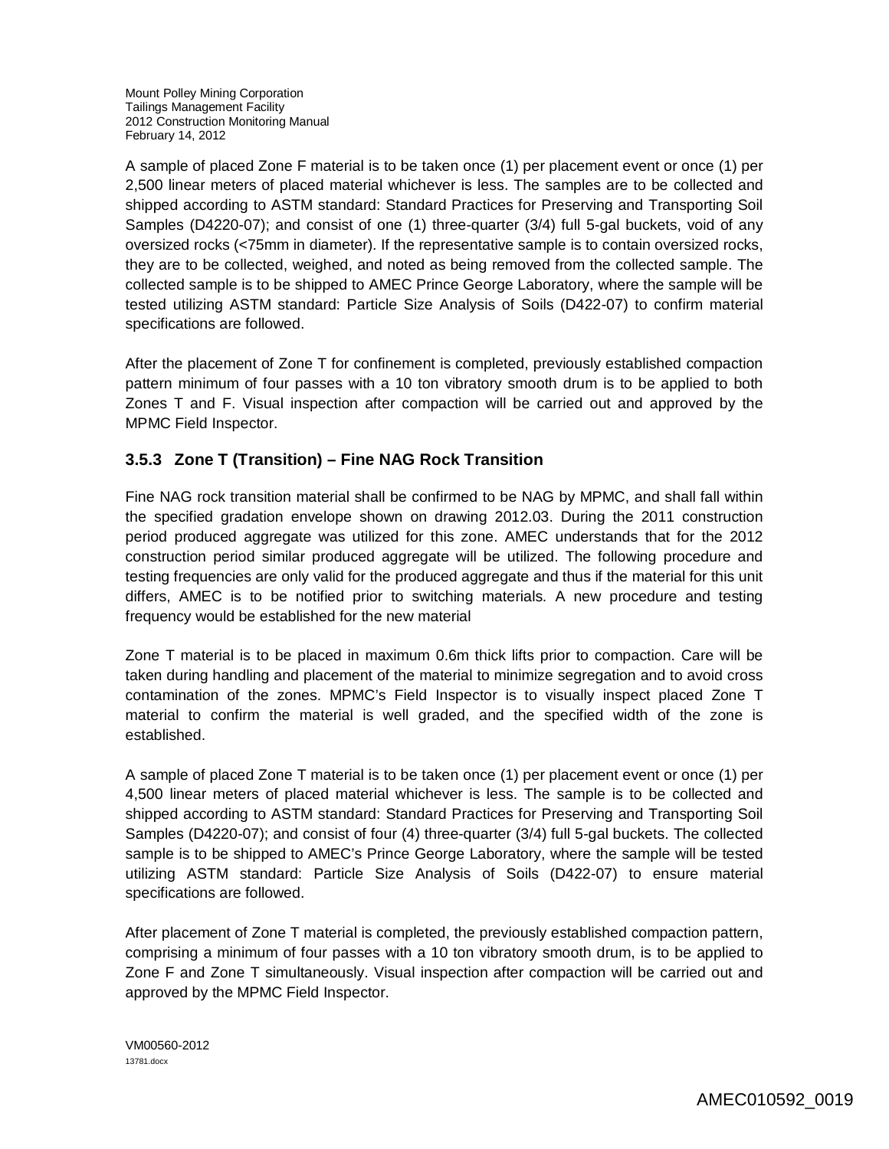A sample of placed Zone F material is to be taken once (1) per placement event or once (1) per 2,500 linear meters of placed material whichever is less. The samples are to be collected and shipped according to ASTM standard: Standard Practices for Preserving and Transporting Soil Samples (D4220-07); and consist of one (1) three-quarter (3/4) full 5-gal buckets, void of any oversized rocks (<75mm in diameter). If the representative sample is to contain oversized rocks, they are to be collected, weighed, and noted as being removed from the collected sample. The collected sample is to be shipped to AMEC Prince George Laboratory, where the sample will be tested utilizing ASTM standard: Particle Size Analysis of Soils (D422-07) to confirm material specifications are followed.

After the placement of Zone T for confinement is completed, previously established compaction pattern minimum of four passes with a 10 ton vibratory smooth drum is to be applied to both Zones T and F. Visual inspection after compaction will be carried out and approved by the MPMC Field Inspector.

# **3.5.3 Zone T (Transition) – Fine NAG Rock Transition**

Fine NAG rock transition material shall be confirmed to be NAG by MPMC, and shall fall within the specified gradation envelope shown on drawing 2012.03. During the 2011 construction period produced aggregate was utilized for this zone. AMEC understands that for the 2012 construction period similar produced aggregate will be utilized. The following procedure and testing frequencies are only valid for the produced aggregate and thus if the material for this unit differs, AMEC is to be notified prior to switching materials. A new procedure and testing frequency would be established for the new material

Zone T material is to be placed in maximum 0.6m thick lifts prior to compaction. Care will be taken during handling and placement of the material to minimize segregation and to avoid cross contamination of the zones. MPMC's Field Inspector is to visually inspect placed Zone T material to confirm the material is well graded, and the specified width of the zone is established.

A sample of placed Zone T material is to be taken once (1) per placement event or once (1) per 4,500 linear meters of placed material whichever is less. The sample is to be collected and shipped according to ASTM standard: Standard Practices for Preserving and Transporting Soil Samples (D4220-07); and consist of four (4) three-quarter (3/4) full 5-gal buckets. The collected sample is to be shipped to AMEC's Prince George Laboratory, where the sample will be tested utilizing ASTM standard: Particle Size Analysis of Soils (D422-07) to ensure material specifications are followed.

After placement of Zone T material is completed, the previously established compaction pattern, comprising a minimum of four passes with a 10 ton vibratory smooth drum, is to be applied to Zone F and Zone T simultaneously. Visual inspection after compaction will be carried out and approved by the MPMC Field Inspector.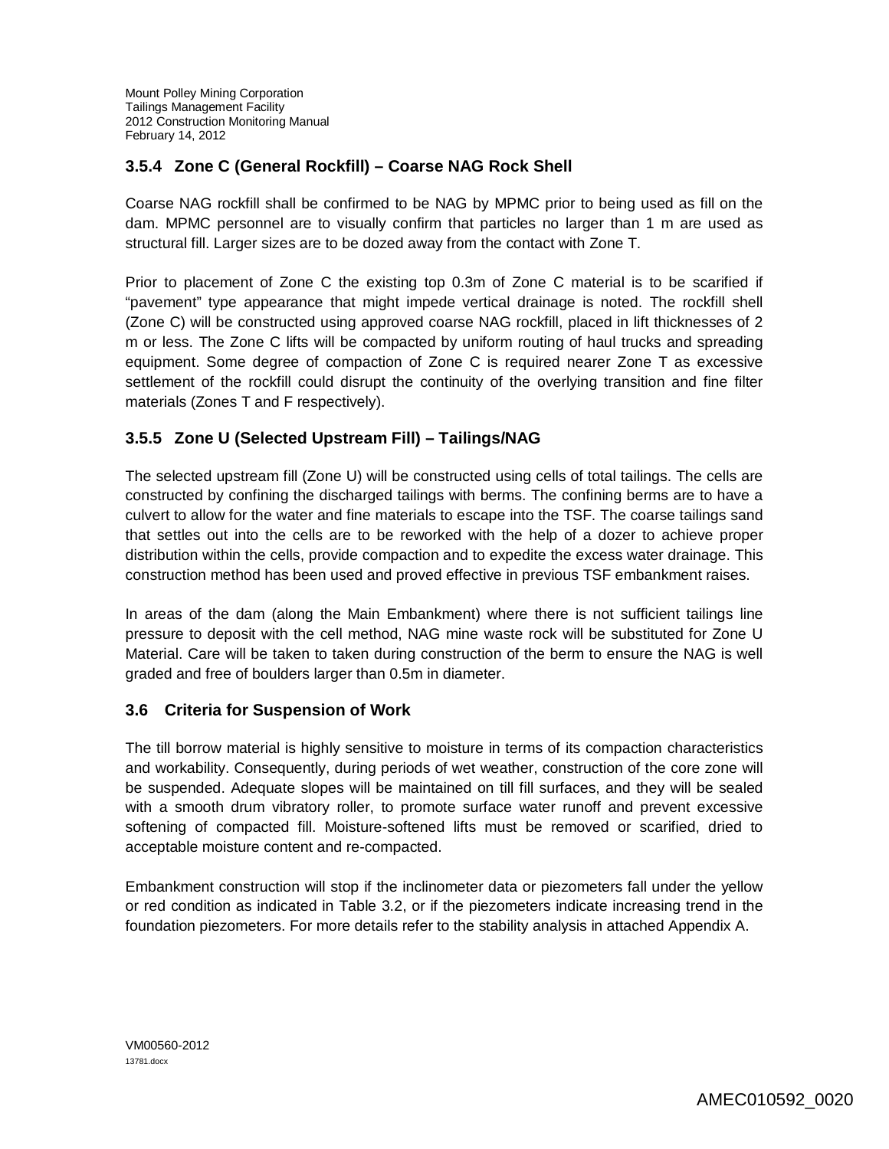# **3.5.4 Zone C (General Rockfill) – Coarse NAG Rock Shell**

Coarse NAG rockfill shall be confirmed to be NAG by MPMC prior to being used as fill on the dam. MPMC personnel are to visually confirm that particles no larger than 1 m are used as structural fill. Larger sizes are to be dozed away from the contact with Zone T.

Prior to placement of Zone C the existing top 0.3m of Zone C material is to be scarified if "pavement" type appearance that might impede vertical drainage is noted. The rockfill shell (Zone C) will be constructed using approved coarse NAG rockfill, placed in lift thicknesses of 2 m or less. The Zone C lifts will be compacted by uniform routing of haul trucks and spreading equipment. Some degree of compaction of Zone C is required nearer Zone T as excessive settlement of the rockfill could disrupt the continuity of the overlying transition and fine filter materials (Zones T and F respectively).

# **3.5.5 Zone U (Selected Upstream Fill) – Tailings/NAG**

The selected upstream fill (Zone U) will be constructed using cells of total tailings. The cells are constructed by confining the discharged tailings with berms. The confining berms are to have a culvert to allow for the water and fine materials to escape into the TSF. The coarse tailings sand that settles out into the cells are to be reworked with the help of a dozer to achieve proper distribution within the cells, provide compaction and to expedite the excess water drainage. This construction method has been used and proved effective in previous TSF embankment raises.

In areas of the dam (along the Main Embankment) where there is not sufficient tailings line pressure to deposit with the cell method, NAG mine waste rock will be substituted for Zone U Material. Care will be taken to taken during construction of the berm to ensure the NAG is well graded and free of boulders larger than 0.5m in diameter.

## **3.6 Criteria for Suspension of Work**

The till borrow material is highly sensitive to moisture in terms of its compaction characteristics and workability. Consequently, during periods of wet weather, construction of the core zone will be suspended. Adequate slopes will be maintained on till fill surfaces, and they will be sealed with a smooth drum vibratory roller, to promote surface water runoff and prevent excessive softening of compacted fill. Moisture-softened lifts must be removed or scarified, dried to acceptable moisture content and re-compacted.

Embankment construction will stop if the inclinometer data or piezometers fall under the yellow or red condition as indicated in Table 3.2, or if the piezometers indicate increasing trend in the foundation piezometers. For more details refer to the stability analysis in attached Appendix A.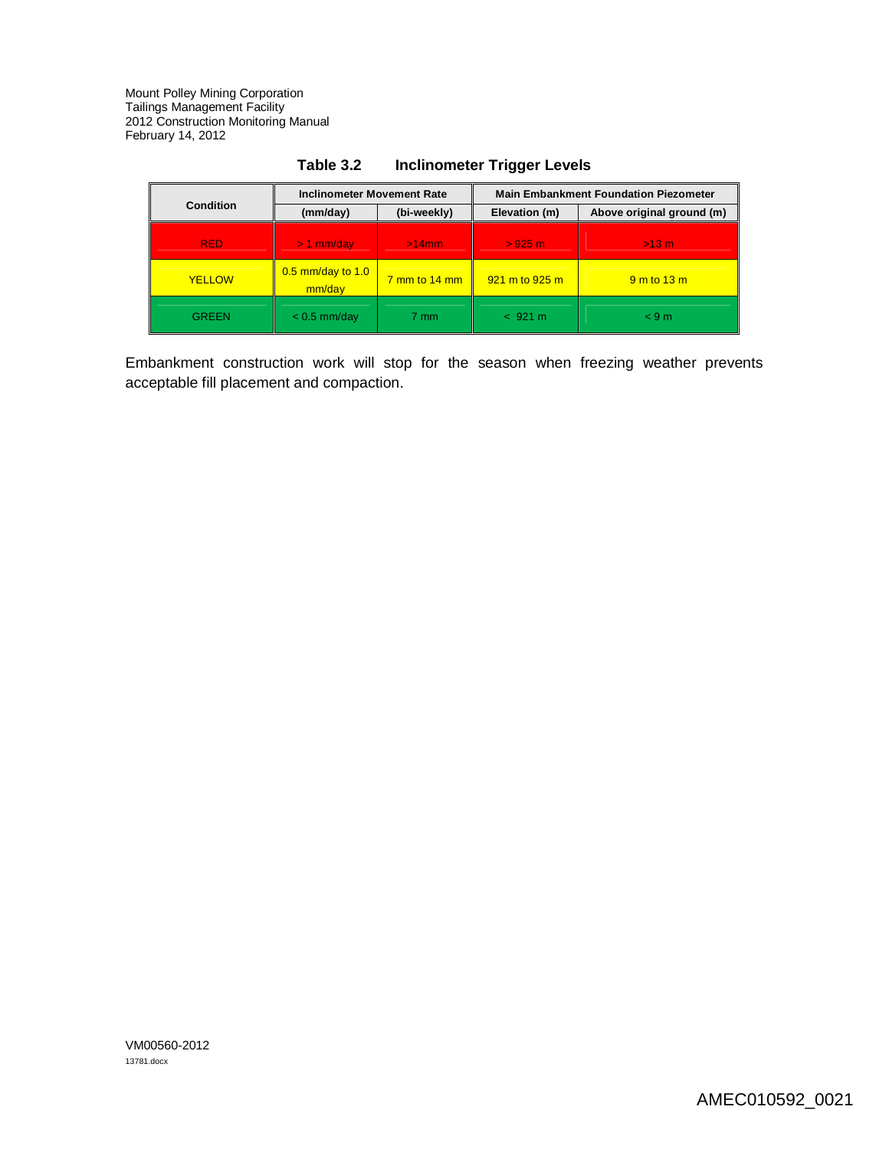|                  | <b>Inclinometer Movement Rate</b> |                                      | <b>Main Embankment Foundation Piezometer</b> |                           |
|------------------|-----------------------------------|--------------------------------------|----------------------------------------------|---------------------------|
| <b>Condition</b> | (mm/day)                          | (bi-weekly)                          | Elevation (m)                                | Above original ground (m) |
| <b>RED</b>       | $> 1$ mm/day                      | $>14$ mm                             | >925 m                                       | $>13$ m                   |
| <b>YELLOW</b>    | $0.5$ mm/day to 1.0<br>mm/day     | $\frac{7 \text{ mm}}{14 \text{ mm}}$ | 921 m to 925 m                               | $9m$ to 13 m              |
| <b>GREEN</b>     | $< 0.5$ mm/day                    | 7 mm                                 | < 921 m                                      | < 9m                      |

# **Table 3.2 Inclinometer Trigger Levels**

Embankment construction work will stop for the season when freezing weather prevents acceptable fill placement and compaction.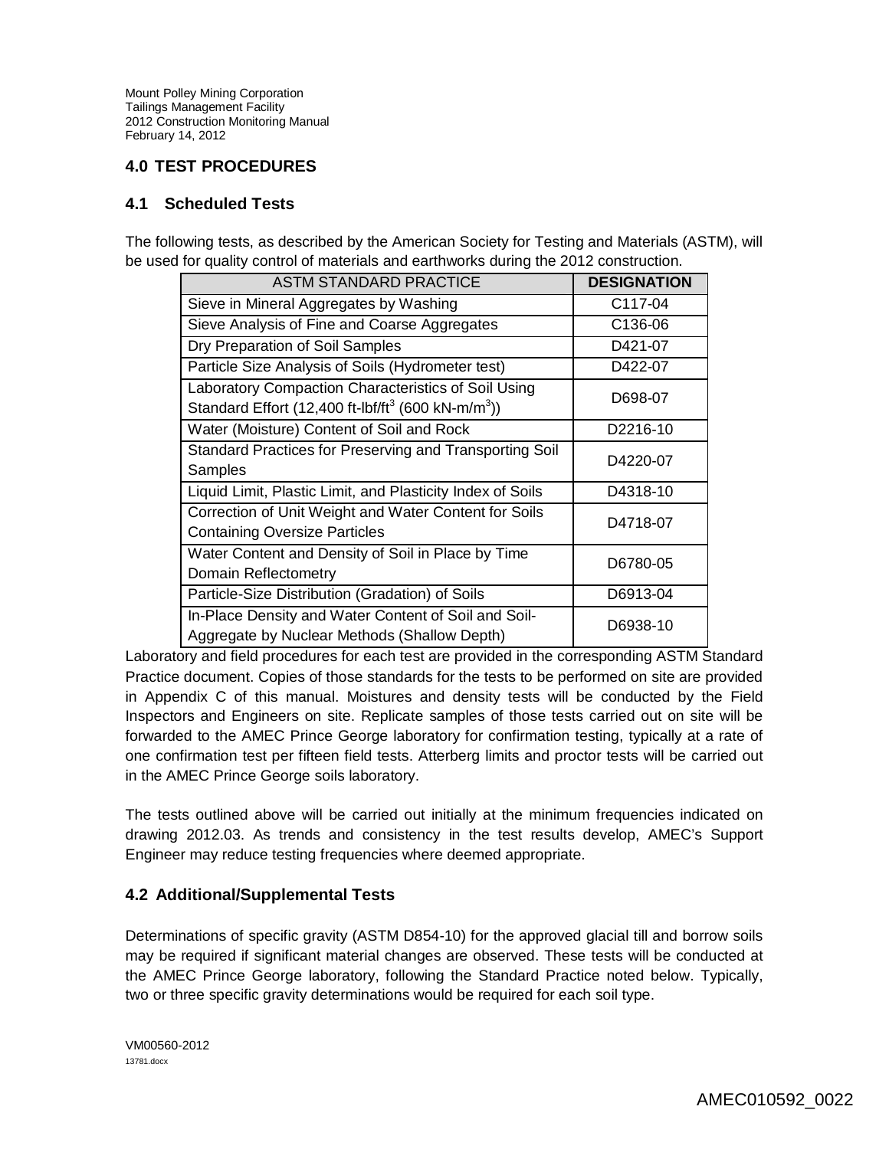# **4.0 TEST PROCEDURES**

#### **4.1 Scheduled Tests**

The following tests, as described by the American Society for Testing and Materials (ASTM), will be used for quality control of materials and earthworks during the 2012 construction.

| <b>ASTM STANDARD PRACTICE</b>                                                                                                     | <b>DESIGNATION</b>    |
|-----------------------------------------------------------------------------------------------------------------------------------|-----------------------|
| Sieve in Mineral Aggregates by Washing                                                                                            | C117-04               |
| Sieve Analysis of Fine and Coarse Aggregates                                                                                      | C136-06               |
| Dry Preparation of Soil Samples                                                                                                   | D421-07               |
| Particle Size Analysis of Soils (Hydrometer test)                                                                                 | D422-07               |
| Laboratory Compaction Characteristics of Soil Using<br>Standard Effort (12,400 ft-lbf/ft <sup>3</sup> (600 kN-m/m <sup>3</sup> )) | D698-07               |
| Water (Moisture) Content of Soil and Rock                                                                                         | D <sub>2216</sub> -10 |
| Standard Practices for Preserving and Transporting Soil<br>Samples                                                                | D4220-07              |
| Liquid Limit, Plastic Limit, and Plasticity Index of Soils                                                                        | D4318-10              |
| Correction of Unit Weight and Water Content for Soils<br><b>Containing Oversize Particles</b>                                     | D4718-07              |
| Water Content and Density of Soil in Place by Time<br>Domain Reflectometry                                                        | D6780-05              |
| Particle-Size Distribution (Gradation) of Soils                                                                                   | D6913-04              |
| In-Place Density and Water Content of Soil and Soil-<br>Aggregate by Nuclear Methods (Shallow Depth)                              | D6938-10              |

Laboratory and field procedures for each test are provided in the corresponding ASTM Standard Practice document. Copies of those standards for the tests to be performed on site are provided in Appendix C of this manual. Moistures and density tests will be conducted by the Field Inspectors and Engineers on site. Replicate samples of those tests carried out on site will be forwarded to the AMEC Prince George laboratory for confirmation testing, typically at a rate of one confirmation test per fifteen field tests. Atterberg limits and proctor tests will be carried out in the AMEC Prince George soils laboratory.

The tests outlined above will be carried out initially at the minimum frequencies indicated on drawing 2012.03. As trends and consistency in the test results develop, AMEC's Support Engineer may reduce testing frequencies where deemed appropriate.

## **4.2 Additional/Supplemental Tests**

Determinations of specific gravity (ASTM D854-10) for the approved glacial till and borrow soils may be required if significant material changes are observed. These tests will be conducted at the AMEC Prince George laboratory, following the Standard Practice noted below. Typically, two or three specific gravity determinations would be required for each soil type.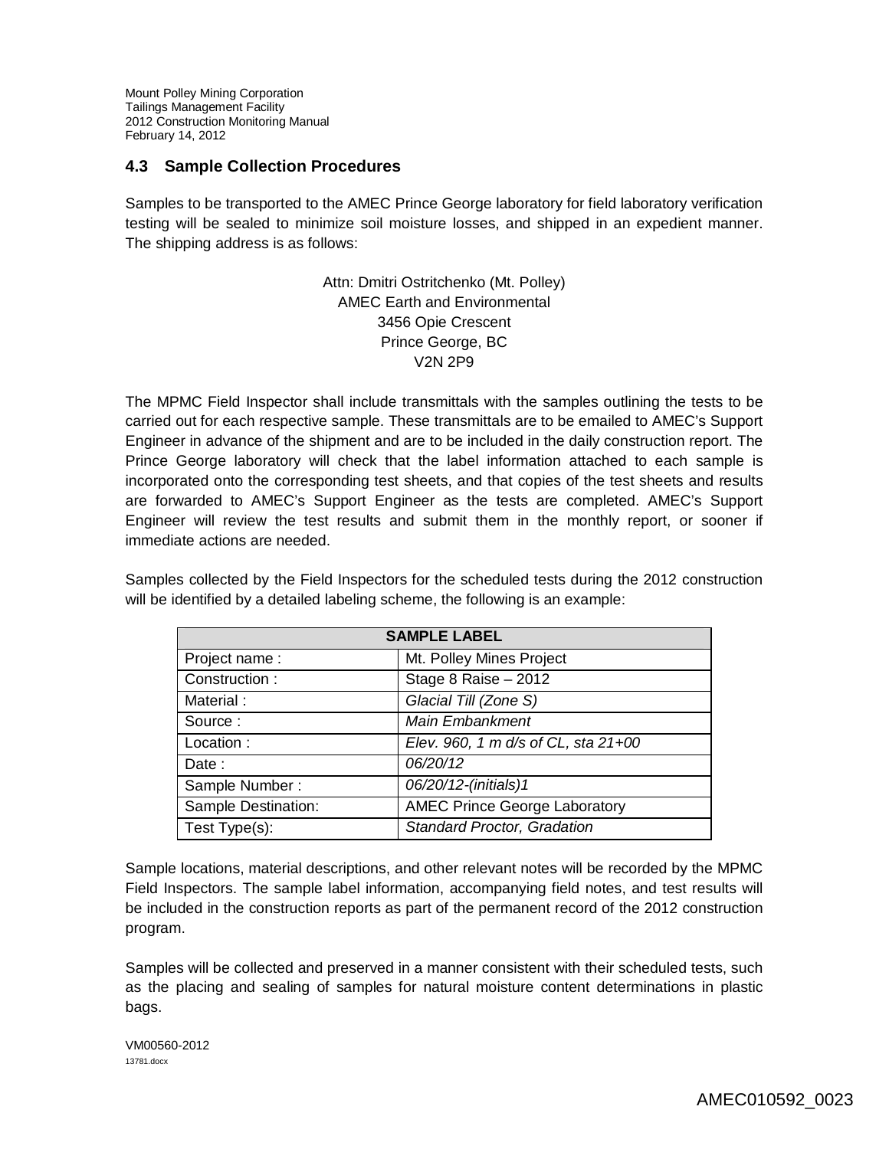#### **4.3 Sample Collection Procedures**

Samples to be transported to the AMEC Prince George laboratory for field laboratory verification testing will be sealed to minimize soil moisture losses, and shipped in an expedient manner. The shipping address is as follows:

> Attn: Dmitri Ostritchenko (Mt. Polley) AMEC Earth and Environmental 3456 Opie Crescent Prince George, BC V2N 2P9

The MPMC Field Inspector shall include transmittals with the samples outlining the tests to be carried out for each respective sample. These transmittals are to be emailed to AMEC's Support Engineer in advance of the shipment and are to be included in the daily construction report. The Prince George laboratory will check that the label information attached to each sample is incorporated onto the corresponding test sheets, and that copies of the test sheets and results are forwarded to AMEC's Support Engineer as the tests are completed. AMEC's Support Engineer will review the test results and submit them in the monthly report, or sooner if immediate actions are needed.

Samples collected by the Field Inspectors for the scheduled tests during the 2012 construction will be identified by a detailed labeling scheme, the following is an example:

| <b>SAMPLE LABEL</b> |                                      |  |
|---------------------|--------------------------------------|--|
| Project name:       | Mt. Polley Mines Project             |  |
| Construction:       | Stage 8 Raise - 2012                 |  |
| Material:           | Glacial Till (Zone S)                |  |
| Source:             | Main Embankment                      |  |
| Location:           | Elev. 960, 1 m d/s of CL, sta 21+00  |  |
| Date:               | 06/20/12                             |  |
| Sample Number:      | 06/20/12-(initials)1                 |  |
| Sample Destination: | <b>AMEC Prince George Laboratory</b> |  |
| Test Type(s):       | Standard Proctor, Gradation          |  |

Sample locations, material descriptions, and other relevant notes will be recorded by the MPMC Field Inspectors. The sample label information, accompanying field notes, and test results will be included in the construction reports as part of the permanent record of the 2012 construction program.

Samples will be collected and preserved in a manner consistent with their scheduled tests, such as the placing and sealing of samples for natural moisture content determinations in plastic bags.

VM00560-2012 13781.docx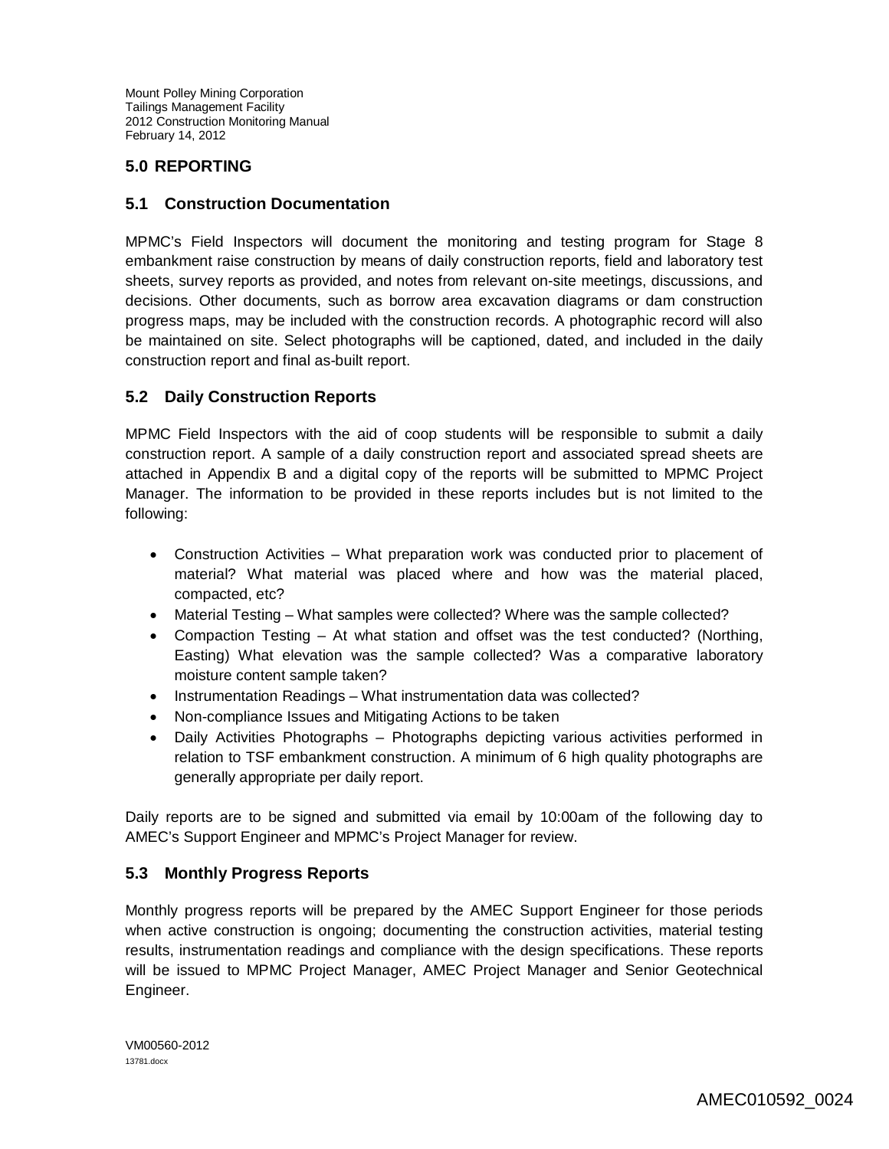# **5.0 REPORTING**

#### **5.1 Construction Documentation**

MPMC's Field Inspectors will document the monitoring and testing program for Stage 8 embankment raise construction by means of daily construction reports, field and laboratory test sheets, survey reports as provided, and notes from relevant on-site meetings, discussions, and decisions. Other documents, such as borrow area excavation diagrams or dam construction progress maps, may be included with the construction records. A photographic record will also be maintained on site. Select photographs will be captioned, dated, and included in the daily construction report and final as-built report.

## **5.2 Daily Construction Reports**

MPMC Field Inspectors with the aid of coop students will be responsible to submit a daily construction report. A sample of a daily construction report and associated spread sheets are attached in Appendix B and a digital copy of the reports will be submitted to MPMC Project Manager. The information to be provided in these reports includes but is not limited to the following:

- Construction Activities What preparation work was conducted prior to placement of material? What material was placed where and how was the material placed, compacted, etc?
- Material Testing What samples were collected? Where was the sample collected?
- Compaction Testing At what station and offset was the test conducted? (Northing, Easting) What elevation was the sample collected? Was a comparative laboratory moisture content sample taken?
- Instrumentation Readings What instrumentation data was collected?
- Non-compliance Issues and Mitigating Actions to be taken
- Daily Activities Photographs Photographs depicting various activities performed in relation to TSF embankment construction. A minimum of 6 high quality photographs are generally appropriate per daily report.

Daily reports are to be signed and submitted via email by 10:00am of the following day to AMEC's Support Engineer and MPMC's Project Manager for review.

## **5.3 Monthly Progress Reports**

Monthly progress reports will be prepared by the AMEC Support Engineer for those periods when active construction is ongoing; documenting the construction activities, material testing results, instrumentation readings and compliance with the design specifications. These reports will be issued to MPMC Project Manager, AMEC Project Manager and Senior Geotechnical Engineer.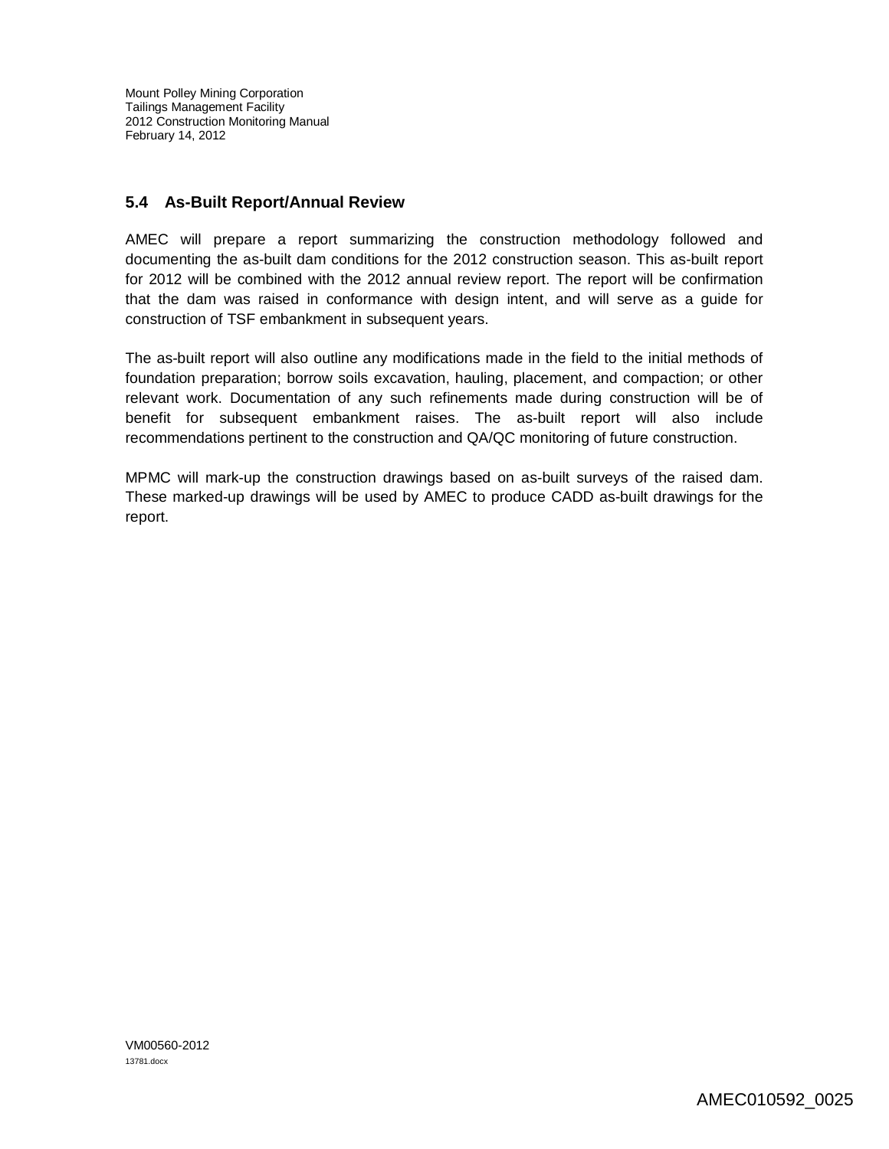# **5.4 As-Built Report/Annual Review**

AMEC will prepare a report summarizing the construction methodology followed and documenting the as-built dam conditions for the 2012 construction season. This as-built report for 2012 will be combined with the 2012 annual review report. The report will be confirmation that the dam was raised in conformance with design intent, and will serve as a guide for construction of TSF embankment in subsequent years.

The as-built report will also outline any modifications made in the field to the initial methods of foundation preparation; borrow soils excavation, hauling, placement, and compaction; or other relevant work. Documentation of any such refinements made during construction will be of benefit for subsequent embankment raises. The as-built report will also include recommendations pertinent to the construction and QA/QC monitoring of future construction.

MPMC will mark-up the construction drawings based on as-built surveys of the raised dam. These marked-up drawings will be used by AMEC to produce CADD as-built drawings for the report.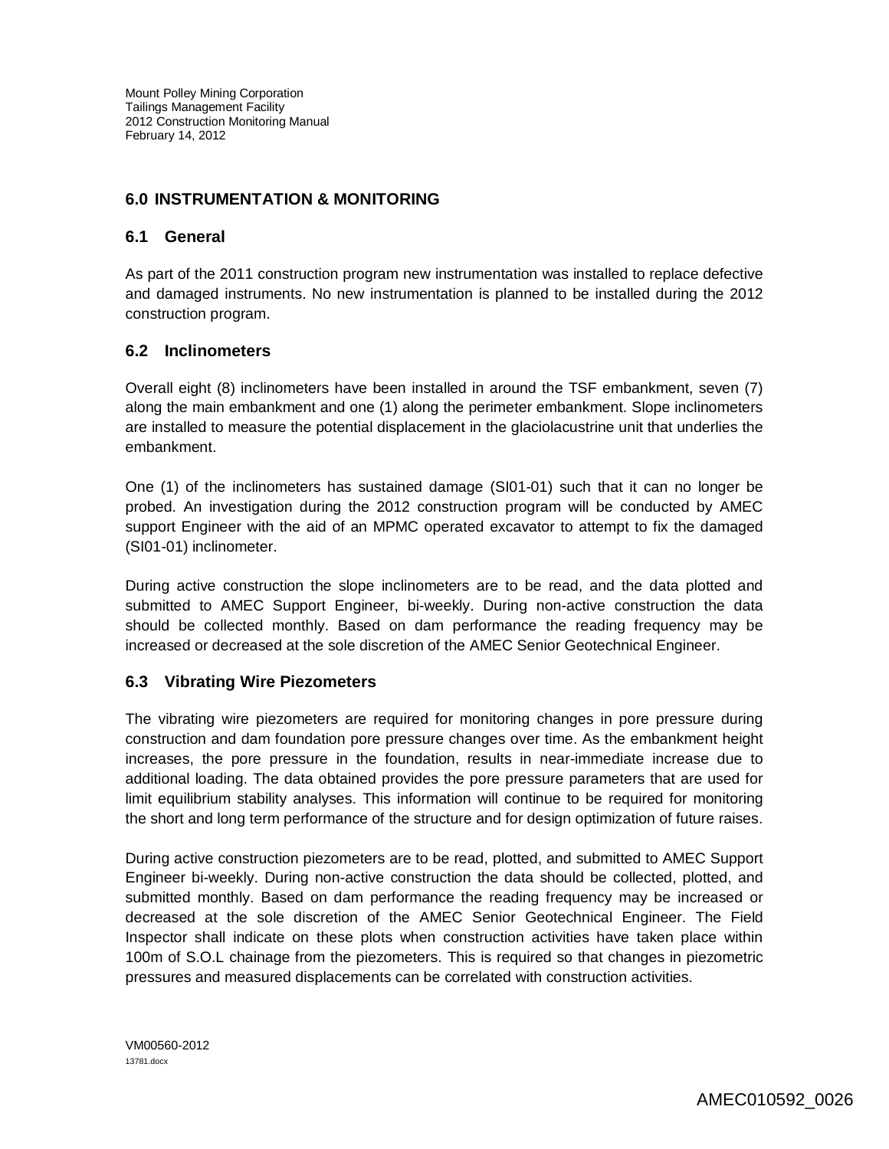# **6.0 INSTRUMENTATION & MONITORING**

#### **6.1 General**

As part of the 2011 construction program new instrumentation was installed to replace defective and damaged instruments. No new instrumentation is planned to be installed during the 2012 construction program.

#### **6.2 Inclinometers**

Overall eight (8) inclinometers have been installed in around the TSF embankment, seven (7) along the main embankment and one (1) along the perimeter embankment. Slope inclinometers are installed to measure the potential displacement in the glaciolacustrine unit that underlies the embankment.

One (1) of the inclinometers has sustained damage (SI01-01) such that it can no longer be probed. An investigation during the 2012 construction program will be conducted by AMEC support Engineer with the aid of an MPMC operated excavator to attempt to fix the damaged (SI01-01) inclinometer.

During active construction the slope inclinometers are to be read, and the data plotted and submitted to AMEC Support Engineer, bi-weekly. During non-active construction the data should be collected monthly. Based on dam performance the reading frequency may be increased or decreased at the sole discretion of the AMEC Senior Geotechnical Engineer.

## **6.3 Vibrating Wire Piezometers**

The vibrating wire piezometers are required for monitoring changes in pore pressure during construction and dam foundation pore pressure changes over time. As the embankment height increases, the pore pressure in the foundation, results in near-immediate increase due to additional loading. The data obtained provides the pore pressure parameters that are used for limit equilibrium stability analyses. This information will continue to be required for monitoring the short and long term performance of the structure and for design optimization of future raises.

During active construction piezometers are to be read, plotted, and submitted to AMEC Support Engineer bi-weekly. During non-active construction the data should be collected, plotted, and submitted monthly. Based on dam performance the reading frequency may be increased or decreased at the sole discretion of the AMEC Senior Geotechnical Engineer. The Field Inspector shall indicate on these plots when construction activities have taken place within 100m of S.O.L chainage from the piezometers. This is required so that changes in piezometric pressures and measured displacements can be correlated with construction activities.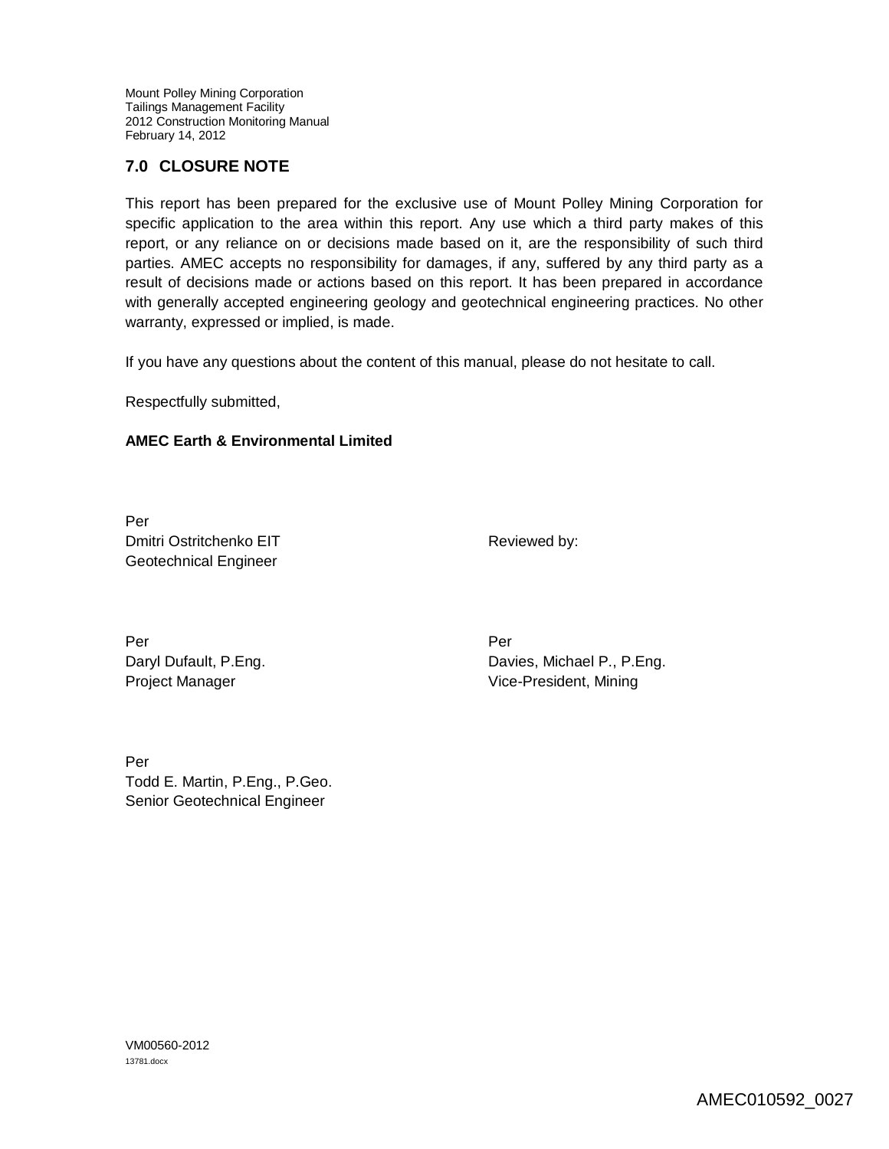# **7.0 CLOSURE NOTE**

This report has been prepared for the exclusive use of Mount Polley Mining Corporation for specific application to the area within this report. Any use which a third party makes of this report, or any reliance on or decisions made based on it, are the responsibility of such third parties. AMEC accepts no responsibility for damages, if any, suffered by any third party as a result of decisions made or actions based on this report. It has been prepared in accordance with generally accepted engineering geology and geotechnical engineering practices. No other warranty, expressed or implied, is made.

If you have any questions about the content of this manual, please do not hesitate to call.

Respectfully submitted,

#### **AMEC Earth & Environmental Limited**

Per Dmitri Ostritchenko EIT Geotechnical Engineer

Reviewed by:

Per Per Daryl Dufault, P.Eng. Project Manager

Davies, Michael P., P.Eng. Vice-President, Mining

Per Todd E. Martin, P.Eng., P.Geo. Senior Geotechnical Engineer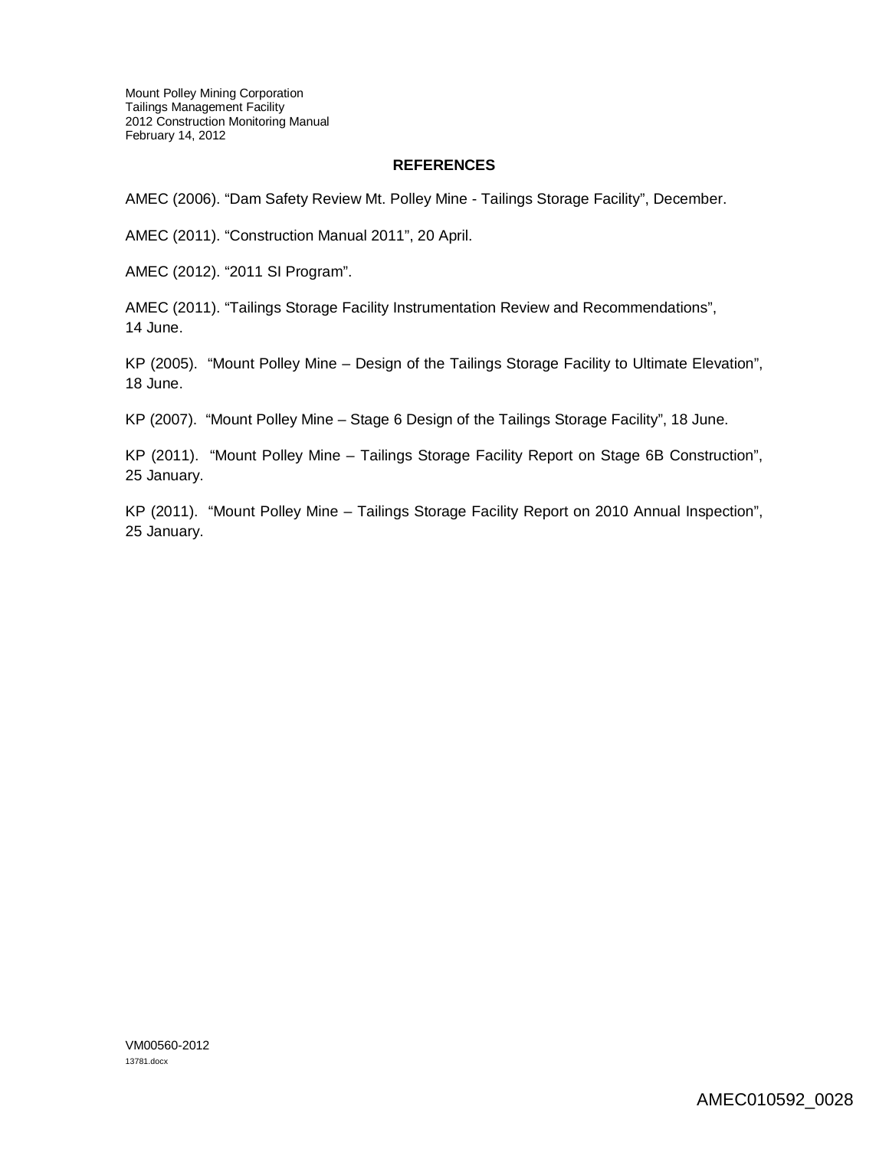#### **REFERENCES**

AMEC (2006). "Dam Safety Review Mt. Polley Mine - Tailings Storage Facility", December.

AMEC (2011). "Construction Manual 2011", 20 April.

AMEC (2012). "2011 SI Program".

AMEC (2011). "Tailings Storage Facility Instrumentation Review and Recommendations", 14 June.

KP (2005). "Mount Polley Mine – Design of the Tailings Storage Facility to Ultimate Elevation", 18 June.

KP (2007). "Mount Polley Mine – Stage 6 Design of the Tailings Storage Facility", 18 June.

KP (2011). "Mount Polley Mine – Tailings Storage Facility Report on Stage 6B Construction", 25 January.

KP (2011). "Mount Polley Mine – Tailings Storage Facility Report on 2010 Annual Inspection", 25 January.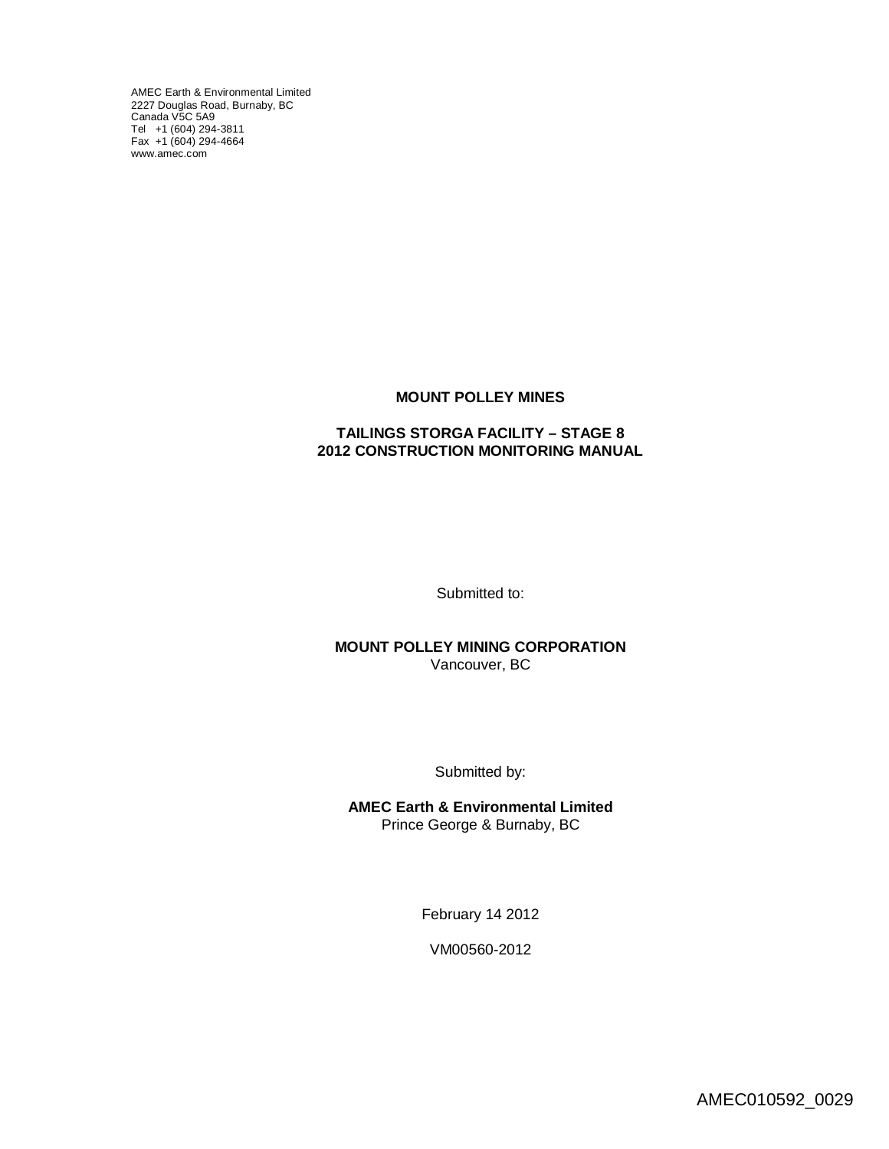AMEC Earth & Environmental Limited 2227 Douglas Road, Burnaby, BC [Canada V5C](http://www.amec.com) 5A9 Tel +1 (604) 294-3811 Fax +1 (604) 294-4664 www.amec.com

#### **MOUNT POLLEY MINES**

#### **TAILINGS STORGA FACILITY – STAGE 8 2012 CONSTRUCTION MONITORING MANUAL**

Submitted to:

**MOUNT POLLEY MINING CORPORATION** Vancouver, BC

Submitted by:

**AMEC Earth & Environmental Limited** Prince George & Burnaby, BC

February 14 2012

VM00560-2012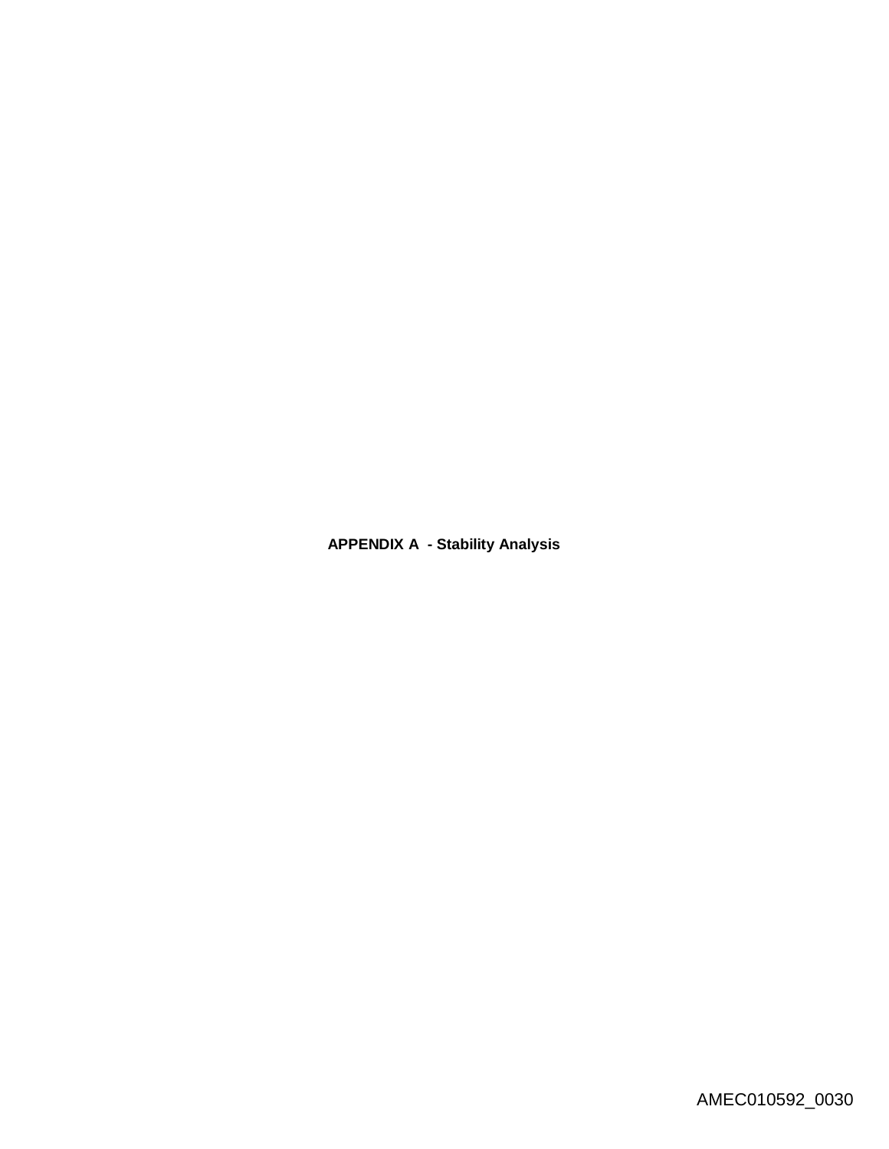**APPENDIX A - Stability Analysis**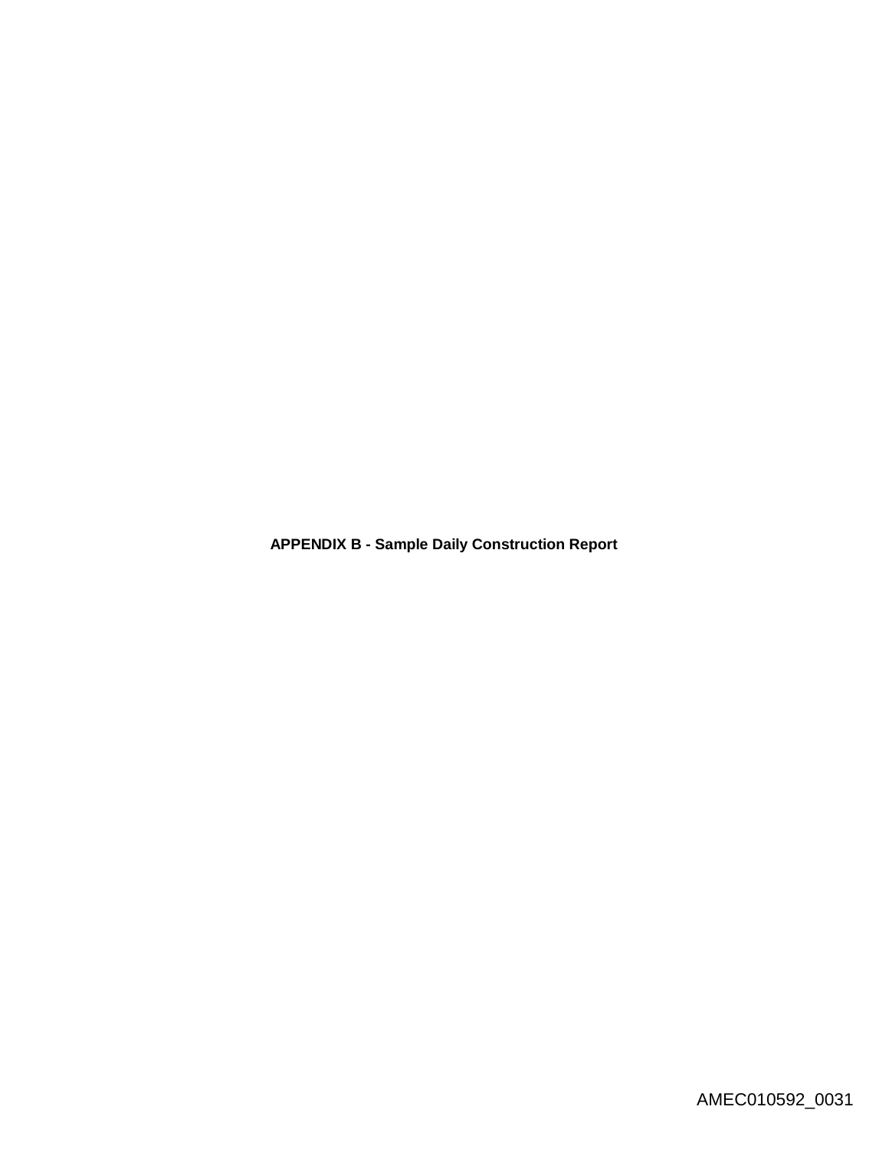**APPENDIX B - Sample Daily Construction Report**